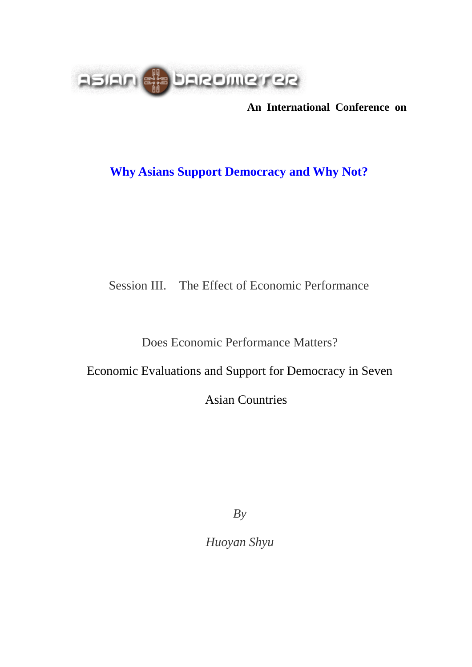

**An International Conference on**

# **Why Asians Support Democracy and Why Not?**

# Session III. The Effect of Economic Performance

Does Economic Performance Matters?

Economic Evaluations and Support for Democracy in Seven

Asian Countries

*By*

*Huoyan Shyu*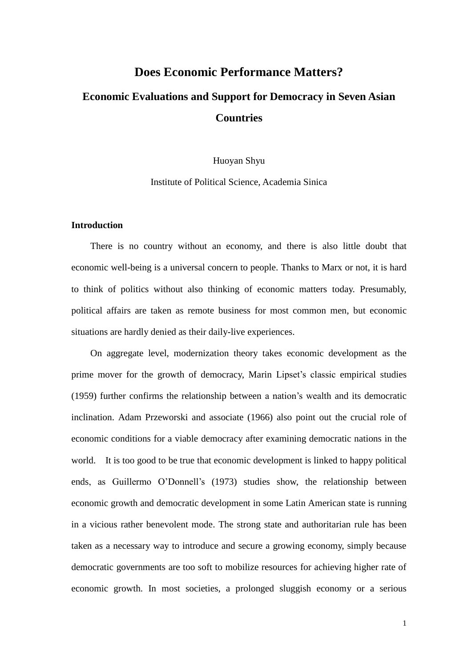# **Does Economic Performance Matters? Economic Evaluations and Support for Democracy in Seven Asian Countries**

Huoyan Shyu

Institute of Political Science, Academia Sinica

### **Introduction**

There is no country without an economy, and there is also little doubt that economic well-being is a universal concern to people. Thanks to Marx or not, it is hard to think of politics without also thinking of economic matters today. Presumably, political affairs are taken as remote business for most common men, but economic situations are hardly denied as their daily-live experiences.

On aggregate level, modernization theory takes economic development as the prime mover for the growth of democracy, Marin Lipset's classic empirical studies (1959) further confirms the relationship between a nation's wealth and its democratic inclination. Adam Przeworski and associate (1966) also point out the crucial role of economic conditions for a viable democracy after examining democratic nations in the world. It is too good to be true that economic development is linked to happy political ends, as Guillermo O'Donnell's (1973) studies show, the relationship between economic growth and democratic development in some Latin American state is running in a vicious rather benevolent mode. The strong state and authoritarian rule has been taken as a necessary way to introduce and secure a growing economy, simply because democratic governments are too soft to mobilize resources for achieving higher rate of economic growth. In most societies, a prolonged sluggish economy or a serious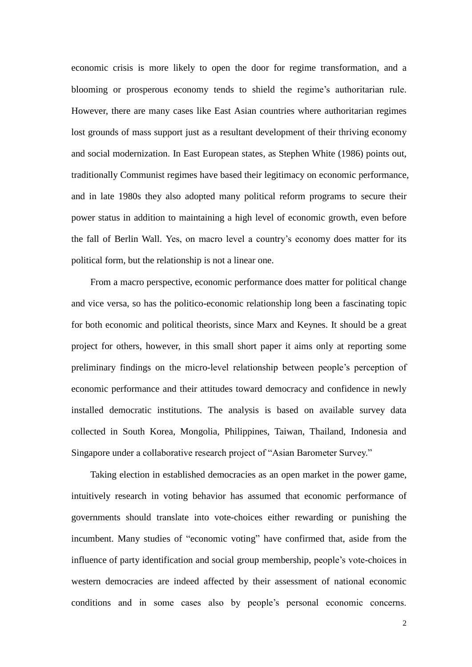economic crisis is more likely to open the door for regime transformation, and a blooming or prosperous economy tends to shield the regime's authoritarian rule. However, there are many cases like East Asian countries where authoritarian regimes lost grounds of mass support just as a resultant development of their thriving economy and social modernization. In East European states, as Stephen White (1986) points out, traditionally Communist regimes have based their legitimacy on economic performance, and in late 1980s they also adopted many political reform programs to secure their power status in addition to maintaining a high level of economic growth, even before the fall of Berlin Wall. Yes, on macro level a country's economy does matter for its political form, but the relationship is not a linear one.

From a macro perspective, economic performance does matter for political change and vice versa, so has the politico-economic relationship long been a fascinating topic for both economic and political theorists, since Marx and Keynes. It should be a great project for others, however, in this small short paper it aims only at reporting some preliminary findings on the micro-level relationship between people's perception of economic performance and their attitudes toward democracy and confidence in newly installed democratic institutions. The analysis is based on available survey data collected in South Korea, Mongolia, Philippines, Taiwan, Thailand, Indonesia and Singapore under a collaborative research project of "Asian Barometer Survey."

Taking election in established democracies as an open market in the power game, intuitively research in voting behavior has assumed that economic performance of governments should translate into vote-choices either rewarding or punishing the incumbent. Many studies of "economic voting" have confirmed that, aside from the influence of party identification and social group membership, people's vote-choices in western democracies are indeed affected by their assessment of national economic conditions and in some cases also by people's personal economic concerns.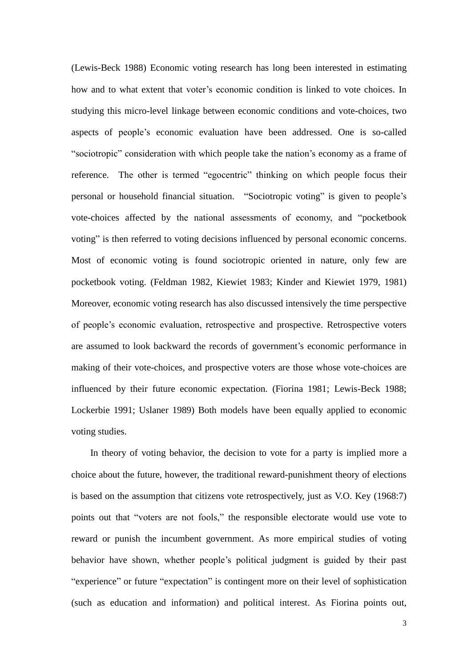(Lewis-Beck 1988) Economic voting research has long been interested in estimating how and to what extent that voter's economic condition is linked to vote choices. In studying this micro-level linkage between economic conditions and vote-choices, two aspects of people's economic evaluation have been addressed. One is so-called "sociotropic" consideration with which people take the nation's economy as a frame of reference. The other is termed "egocentric" thinking on which people focus their personal or household financial situation. "Sociotropic voting" is given to people's vote-choices affected by the national assessments of economy, and "pocketbook voting" is then referred to voting decisions influenced by personal economic concerns. Most of economic voting is found sociotropic oriented in nature, only few are pocketbook voting. (Feldman 1982, Kiewiet 1983; Kinder and Kiewiet 1979, 1981) Moreover, economic voting research has also discussed intensively the time perspective of people's economic evaluation, retrospective and prospective. Retrospective voters are assumed to look backward the records of government's economic performance in making of their vote-choices, and prospective voters are those whose vote-choices are influenced by their future economic expectation. (Fiorina 1981; Lewis-Beck 1988; Lockerbie 1991; Uslaner 1989) Both models have been equally applied to economic voting studies.

In theory of voting behavior, the decision to vote for a party is implied more a choice about the future, however, the traditional reward-punishment theory of elections is based on the assumption that citizens vote retrospectively, just as V.O. Key (1968:7) points out that "voters are not fools," the responsible electorate would use vote to reward or punish the incumbent government. As more empirical studies of voting behavior have shown, whether people's political judgment is guided by their past "experience" or future "expectation" is contingent more on their level of sophistication (such as education and information) and political interest. As Fiorina points out,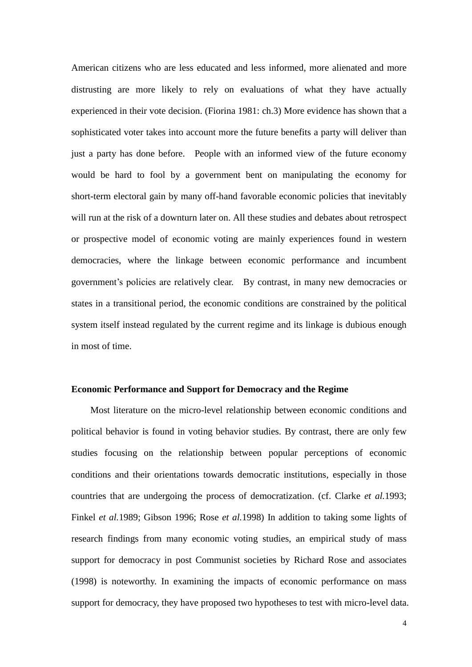American citizens who are less educated and less informed, more alienated and more distrusting are more likely to rely on evaluations of what they have actually experienced in their vote decision. (Fiorina 1981: ch.3) More evidence has shown that a sophisticated voter takes into account more the future benefits a party will deliver than just a party has done before. People with an informed view of the future economy would be hard to fool by a government bent on manipulating the economy for short-term electoral gain by many off-hand favorable economic policies that inevitably will run at the risk of a downturn later on. All these studies and debates about retrospect or prospective model of economic voting are mainly experiences found in western democracies, where the linkage between economic performance and incumbent government's policies are relatively clear. By contrast, in many new democracies or states in a transitional period, the economic conditions are constrained by the political system itself instead regulated by the current regime and its linkage is dubious enough in most of time.

### **Economic Performance and Support for Democracy and the Regime**

Most literature on the micro-level relationship between economic conditions and political behavior is found in voting behavior studies. By contrast, there are only few studies focusing on the relationship between popular perceptions of economic conditions and their orientations towards democratic institutions, especially in those countries that are undergoing the process of democratization. (cf. Clarke *et al.*1993; Finkel *et al.*1989; Gibson 1996; Rose *et al.*1998) In addition to taking some lights of research findings from many economic voting studies, an empirical study of mass support for democracy in post Communist societies by Richard Rose and associates (1998) is noteworthy. In examining the impacts of economic performance on mass support for democracy, they have proposed two hypotheses to test with micro-level data.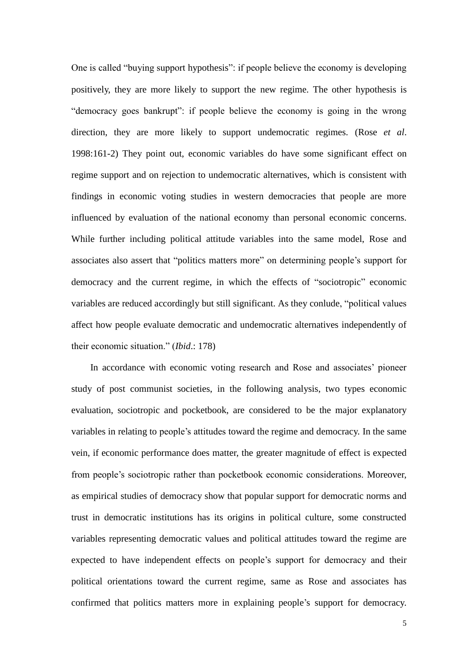One is called "buying support hypothesis": if people believe the economy is developing positively, they are more likely to support the new regime. The other hypothesis is "democracy goes bankrupt": if people believe the economy is going in the wrong direction, they are more likely to support undemocratic regimes. (Rose *et al*. 1998:161-2) They point out, economic variables do have some significant effect on regime support and on rejection to undemocratic alternatives, which is consistent with findings in economic voting studies in western democracies that people are more influenced by evaluation of the national economy than personal economic concerns. While further including political attitude variables into the same model, Rose and associates also assert that "politics matters more" on determining people's support for democracy and the current regime, in which the effects of "sociotropic" economic variables are reduced accordingly but still significant. As they conlude, "political values affect how people evaluate democratic and undemocratic alternatives independently of their economic situation." (*Ibid*.: 178)

In accordance with economic voting research and Rose and associates' pioneer study of post communist societies, in the following analysis, two types economic evaluation, sociotropic and pocketbook, are considered to be the major explanatory variables in relating to people's attitudes toward the regime and democracy. In the same vein, if economic performance does matter, the greater magnitude of effect is expected from people's sociotropic rather than pocketbook economic considerations. Moreover, as empirical studies of democracy show that popular support for democratic norms and trust in democratic institutions has its origins in political culture, some constructed variables representing democratic values and political attitudes toward the regime are expected to have independent effects on people's support for democracy and their political orientations toward the current regime, same as Rose and associates has confirmed that politics matters more in explaining people's support for democracy.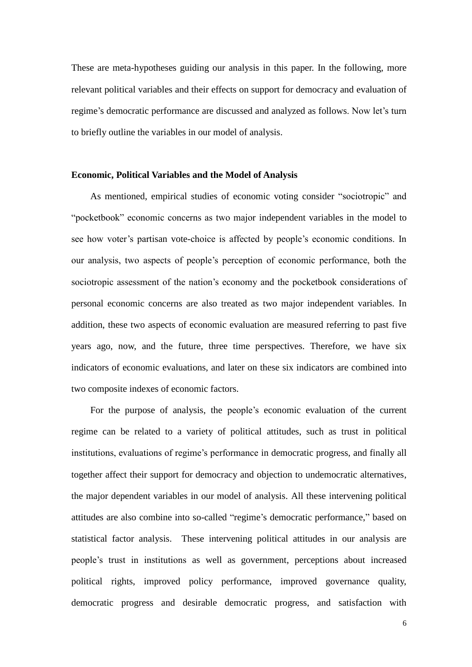These are meta-hypotheses guiding our analysis in this paper. In the following, more relevant political variables and their effects on support for democracy and evaluation of regime's democratic performance are discussed and analyzed as follows. Now let's turn to briefly outline the variables in our model of analysis.

#### **Economic, Political Variables and the Model of Analysis**

As mentioned, empirical studies of economic voting consider "sociotropic" and "pocketbook" economic concerns as two major independent variables in the model to see how voter's partisan vote-choice is affected by people's economic conditions. In our analysis, two aspects of people's perception of economic performance, both the sociotropic assessment of the nation's economy and the pocketbook considerations of personal economic concerns are also treated as two major independent variables. In addition, these two aspects of economic evaluation are measured referring to past five years ago, now, and the future, three time perspectives. Therefore, we have six indicators of economic evaluations, and later on these six indicators are combined into two composite indexes of economic factors.

For the purpose of analysis, the people's economic evaluation of the current regime can be related to a variety of political attitudes, such as trust in political institutions, evaluations of regime's performance in democratic progress, and finally all together affect their support for democracy and objection to undemocratic alternatives, the major dependent variables in our model of analysis. All these intervening political attitudes are also combine into so-called "regime's democratic performance," based on statistical factor analysis. These intervening political attitudes in our analysis are people's trust in institutions as well as government, perceptions about increased political rights, improved policy performance, improved governance quality, democratic progress and desirable democratic progress, and satisfaction with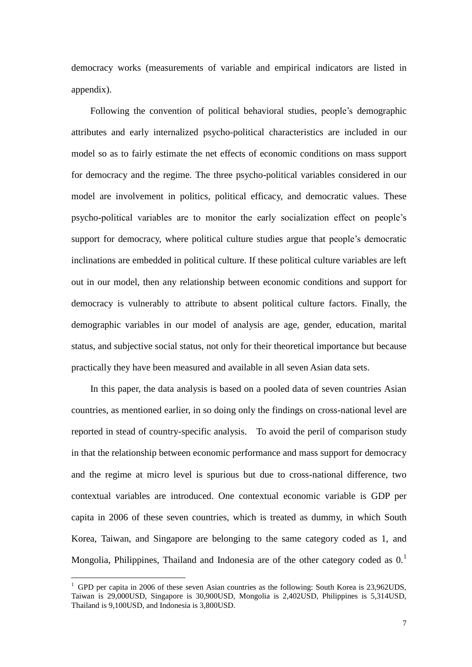democracy works (measurements of variable and empirical indicators are listed in appendix).

Following the convention of political behavioral studies, people's demographic attributes and early internalized psycho-political characteristics are included in our model so as to fairly estimate the net effects of economic conditions on mass support for democracy and the regime. The three psycho-political variables considered in our model are involvement in politics, political efficacy, and democratic values. These psycho-political variables are to monitor the early socialization effect on people's support for democracy, where political culture studies argue that people's democratic inclinations are embedded in political culture. If these political culture variables are left out in our model, then any relationship between economic conditions and support for democracy is vulnerably to attribute to absent political culture factors. Finally, the demographic variables in our model of analysis are age, gender, education, marital status, and subjective social status, not only for their theoretical importance but because practically they have been measured and available in all seven Asian data sets.

In this paper, the data analysis is based on a pooled data of seven countries Asian countries, as mentioned earlier, in so doing only the findings on cross-national level are reported in stead of country-specific analysis. To avoid the peril of comparison study in that the relationship between economic performance and mass support for democracy and the regime at micro level is spurious but due to cross-national difference, two contextual variables are introduced. One contextual economic variable is GDP per capita in 2006 of these seven countries, which is treated as dummy, in which South Korea, Taiwan, and Singapore are belonging to the same category coded as 1, and Mongolia, Philippines, Thailand and Indonesia are of the other category coded as  $0<sup>1</sup>$ 

<u>.</u>

<sup>&</sup>lt;sup>1</sup> GPD per capita in 2006 of these seven Asian countries as the following: South Korea is 23,962UDS, Taiwan is 29,000USD, Singapore is 30,900USD, Mongolia is 2,402USD, Philippines is 5,314USD, Thailand is 9,100USD, and Indonesia is 3,800USD.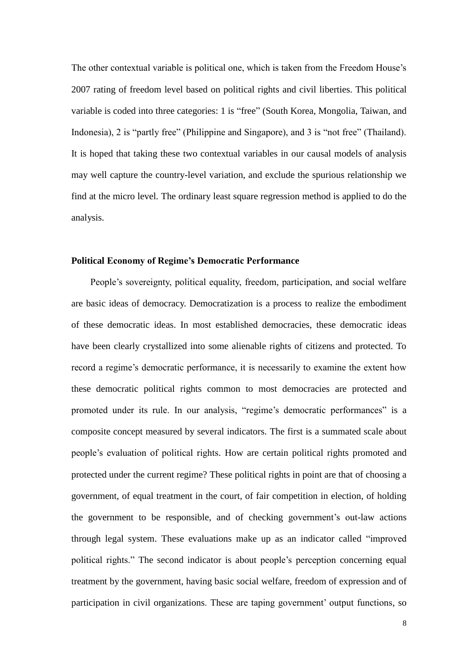The other contextual variable is political one, which is taken from the Freedom House's 2007 rating of freedom level based on political rights and civil liberties. This political variable is coded into three categories: 1 is "free" (South Korea, Mongolia, Taiwan, and Indonesia), 2 is "partly free" (Philippine and Singapore), and 3 is "not free" (Thailand). It is hoped that taking these two contextual variables in our causal models of analysis may well capture the country-level variation, and exclude the spurious relationship we find at the micro level. The ordinary least square regression method is applied to do the analysis.

### **Political Economy of Regime's Democratic Performance**

People's sovereignty, political equality, freedom, participation, and social welfare are basic ideas of democracy. Democratization is a process to realize the embodiment of these democratic ideas. In most established democracies, these democratic ideas have been clearly crystallized into some alienable rights of citizens and protected. To record a regime's democratic performance, it is necessarily to examine the extent how these democratic political rights common to most democracies are protected and promoted under its rule. In our analysis, "regime's democratic performances" is a composite concept measured by several indicators. The first is a summated scale about people's evaluation of political rights. How are certain political rights promoted and protected under the current regime? These political rights in point are that of choosing a government, of equal treatment in the court, of fair competition in election, of holding the government to be responsible, and of checking government's out-law actions through legal system. These evaluations make up as an indicator called "improved political rights." The second indicator is about people's perception concerning equal treatment by the government, having basic social welfare, freedom of expression and of participation in civil organizations. These are taping government' output functions, so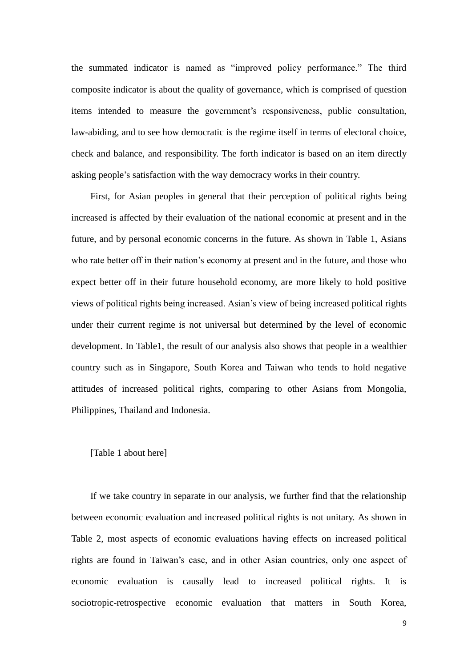the summated indicator is named as "improved policy performance." The third composite indicator is about the quality of governance, which is comprised of question items intended to measure the government's responsiveness, public consultation, law-abiding, and to see how democratic is the regime itself in terms of electoral choice, check and balance, and responsibility. The forth indicator is based on an item directly asking people's satisfaction with the way democracy works in their country.

First, for Asian peoples in general that their perception of political rights being increased is affected by their evaluation of the national economic at present and in the future, and by personal economic concerns in the future. As shown in Table 1, Asians who rate better off in their nation's economy at present and in the future, and those who expect better off in their future household economy, are more likely to hold positive views of political rights being increased. Asian's view of being increased political rights under their current regime is not universal but determined by the level of economic development. In Table1, the result of our analysis also shows that people in a wealthier country such as in Singapore, South Korea and Taiwan who tends to hold negative attitudes of increased political rights, comparing to other Asians from Mongolia, Philippines, Thailand and Indonesia.

### [Table 1 about here]

If we take country in separate in our analysis, we further find that the relationship between economic evaluation and increased political rights is not unitary. As shown in Table 2, most aspects of economic evaluations having effects on increased political rights are found in Taiwan's case, and in other Asian countries, only one aspect of economic evaluation is causally lead to increased political rights. It is sociotropic-retrospective economic evaluation that matters in South Korea,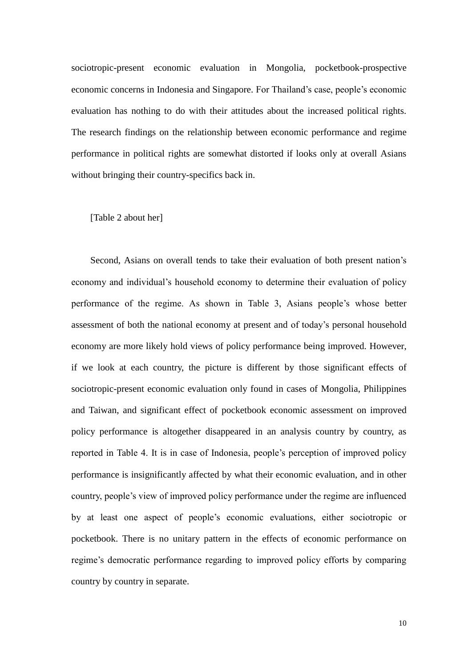sociotropic-present economic evaluation in Mongolia, pocketbook-prospective economic concerns in Indonesia and Singapore. For Thailand's case, people's economic evaluation has nothing to do with their attitudes about the increased political rights. The research findings on the relationship between economic performance and regime performance in political rights are somewhat distorted if looks only at overall Asians without bringing their country-specifics back in.

#### [Table 2 about her]

Second, Asians on overall tends to take their evaluation of both present nation's economy and individual's household economy to determine their evaluation of policy performance of the regime. As shown in Table 3, Asians people's whose better assessment of both the national economy at present and of today's personal household economy are more likely hold views of policy performance being improved. However, if we look at each country, the picture is different by those significant effects of sociotropic-present economic evaluation only found in cases of Mongolia, Philippines and Taiwan, and significant effect of pocketbook economic assessment on improved policy performance is altogether disappeared in an analysis country by country, as reported in Table 4. It is in case of Indonesia, people's perception of improved policy performance is insignificantly affected by what their economic evaluation, and in other country, people's view of improved policy performance under the regime are influenced by at least one aspect of people's economic evaluations, either sociotropic or pocketbook. There is no unitary pattern in the effects of economic performance on regime's democratic performance regarding to improved policy efforts by comparing country by country in separate.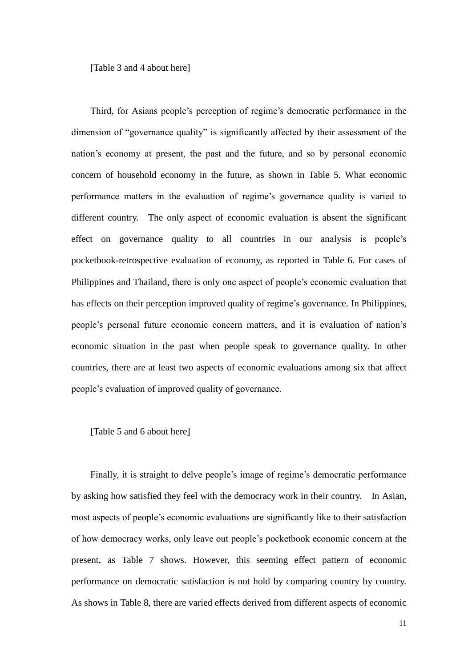[Table 3 and 4 about here]

Third, for Asians people's perception of regime's democratic performance in the dimension of "governance quality" is significantly affected by their assessment of the nation's economy at present, the past and the future, and so by personal economic concern of household economy in the future, as shown in Table 5. What economic performance matters in the evaluation of regime's governance quality is varied to different country. The only aspect of economic evaluation is absent the significant effect on governance quality to all countries in our analysis is people's pocketbook-retrospective evaluation of economy, as reported in Table 6. For cases of Philippines and Thailand, there is only one aspect of people's economic evaluation that has effects on their perception improved quality of regime's governance. In Philippines, people's personal future economic concern matters, and it is evaluation of nation's economic situation in the past when people speak to governance quality. In other countries, there are at least two aspects of economic evaluations among six that affect people's evaluation of improved quality of governance.

[Table 5 and 6 about here]

Finally, it is straight to delve people's image of regime's democratic performance by asking how satisfied they feel with the democracy work in their country. In Asian, most aspects of people's economic evaluations are significantly like to their satisfaction of how democracy works, only leave out people's pocketbook economic concern at the present, as Table 7 shows. However, this seeming effect pattern of economic performance on democratic satisfaction is not hold by comparing country by country. As shows in Table 8, there are varied effects derived from different aspects of economic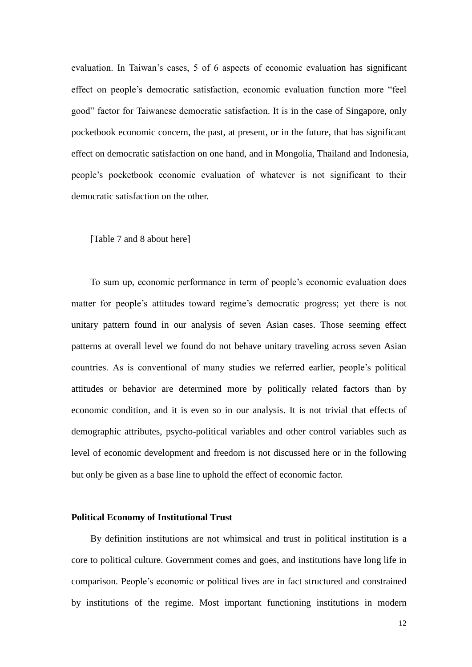evaluation. In Taiwan's cases, 5 of 6 aspects of economic evaluation has significant effect on people's democratic satisfaction, economic evaluation function more "feel good" factor for Taiwanese democratic satisfaction. It is in the case of Singapore, only pocketbook economic concern, the past, at present, or in the future, that has significant effect on democratic satisfaction on one hand, and in Mongolia, Thailand and Indonesia, people's pocketbook economic evaluation of whatever is not significant to their democratic satisfaction on the other.

#### [Table 7 and 8 about here]

To sum up, economic performance in term of people's economic evaluation does matter for people's attitudes toward regime's democratic progress; yet there is not unitary pattern found in our analysis of seven Asian cases. Those seeming effect patterns at overall level we found do not behave unitary traveling across seven Asian countries. As is conventional of many studies we referred earlier, people's political attitudes or behavior are determined more by politically related factors than by economic condition, and it is even so in our analysis. It is not trivial that effects of demographic attributes, psycho-political variables and other control variables such as level of economic development and freedom is not discussed here or in the following but only be given as a base line to uphold the effect of economic factor.

### **Political Economy of Institutional Trust**

By definition institutions are not whimsical and trust in political institution is a core to political culture. Government comes and goes, and institutions have long life in comparison. People's economic or political lives are in fact structured and constrained by institutions of the regime. Most important functioning institutions in modern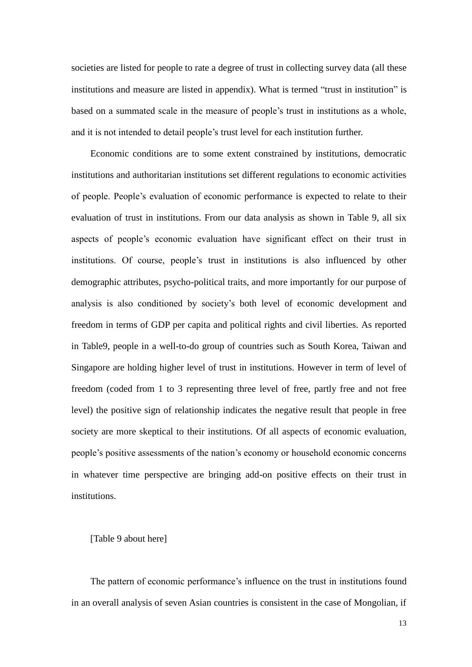societies are listed for people to rate a degree of trust in collecting survey data (all these institutions and measure are listed in appendix). What is termed "trust in institution" is based on a summated scale in the measure of people's trust in institutions as a whole, and it is not intended to detail people's trust level for each institution further.

Economic conditions are to some extent constrained by institutions, democratic institutions and authoritarian institutions set different regulations to economic activities of people. People's evaluation of economic performance is expected to relate to their evaluation of trust in institutions. From our data analysis as shown in Table 9, all six aspects of people's economic evaluation have significant effect on their trust in institutions. Of course, people's trust in institutions is also influenced by other demographic attributes, psycho-political traits, and more importantly for our purpose of analysis is also conditioned by society's both level of economic development and freedom in terms of GDP per capita and political rights and civil liberties. As reported in Table9, people in a well-to-do group of countries such as South Korea, Taiwan and Singapore are holding higher level of trust in institutions. However in term of level of freedom (coded from 1 to 3 representing three level of free, partly free and not free level) the positive sign of relationship indicates the negative result that people in free society are more skeptical to their institutions. Of all aspects of economic evaluation, people's positive assessments of the nation's economy or household economic concerns in whatever time perspective are bringing add-on positive effects on their trust in institutions.

### [Table 9 about here]

The pattern of economic performance's influence on the trust in institutions found in an overall analysis of seven Asian countries is consistent in the case of Mongolian, if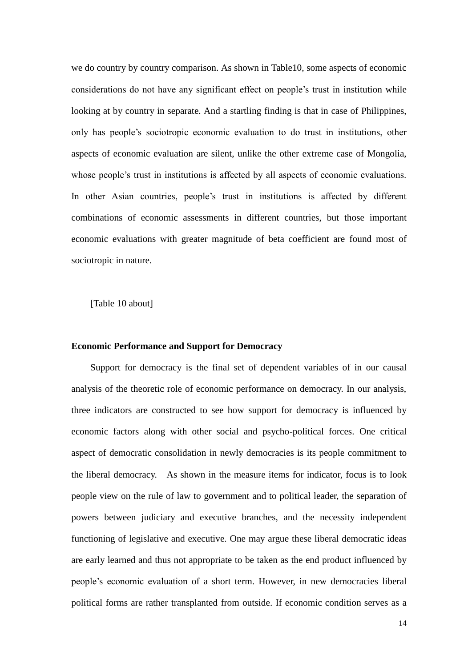we do country by country comparison. As shown in Table10, some aspects of economic considerations do not have any significant effect on people's trust in institution while looking at by country in separate. And a startling finding is that in case of Philippines, only has people's sociotropic economic evaluation to do trust in institutions, other aspects of economic evaluation are silent, unlike the other extreme case of Mongolia, whose people's trust in institutions is affected by all aspects of economic evaluations. In other Asian countries, people's trust in institutions is affected by different combinations of economic assessments in different countries, but those important economic evaluations with greater magnitude of beta coefficient are found most of sociotropic in nature.

[Table 10 about]

### **Economic Performance and Support for Democracy**

Support for democracy is the final set of dependent variables of in our causal analysis of the theoretic role of economic performance on democracy. In our analysis, three indicators are constructed to see how support for democracy is influenced by economic factors along with other social and psycho-political forces. One critical aspect of democratic consolidation in newly democracies is its people commitment to the liberal democracy. As shown in the measure items for indicator, focus is to look people view on the rule of law to government and to political leader, the separation of powers between judiciary and executive branches, and the necessity independent functioning of legislative and executive. One may argue these liberal democratic ideas are early learned and thus not appropriate to be taken as the end product influenced by people's economic evaluation of a short term. However, in new democracies liberal political forms are rather transplanted from outside. If economic condition serves as a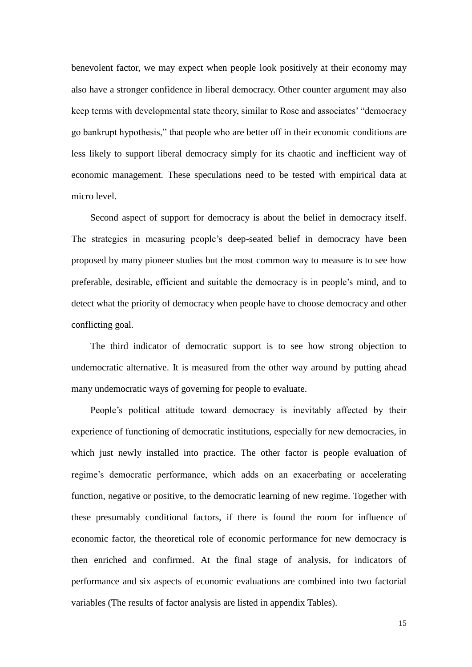benevolent factor, we may expect when people look positively at their economy may also have a stronger confidence in liberal democracy. Other counter argument may also keep terms with developmental state theory, similar to Rose and associates' "democracy go bankrupt hypothesis," that people who are better off in their economic conditions are less likely to support liberal democracy simply for its chaotic and inefficient way of economic management. These speculations need to be tested with empirical data at micro level.

Second aspect of support for democracy is about the belief in democracy itself. The strategies in measuring people's deep-seated belief in democracy have been proposed by many pioneer studies but the most common way to measure is to see how preferable, desirable, efficient and suitable the democracy is in people's mind, and to detect what the priority of democracy when people have to choose democracy and other conflicting goal.

The third indicator of democratic support is to see how strong objection to undemocratic alternative. It is measured from the other way around by putting ahead many undemocratic ways of governing for people to evaluate.

People's political attitude toward democracy is inevitably affected by their experience of functioning of democratic institutions, especially for new democracies, in which just newly installed into practice. The other factor is people evaluation of regime's democratic performance, which adds on an exacerbating or accelerating function, negative or positive, to the democratic learning of new regime. Together with these presumably conditional factors, if there is found the room for influence of economic factor, the theoretical role of economic performance for new democracy is then enriched and confirmed. At the final stage of analysis, for indicators of performance and six aspects of economic evaluations are combined into two factorial variables (The results of factor analysis are listed in appendix Tables).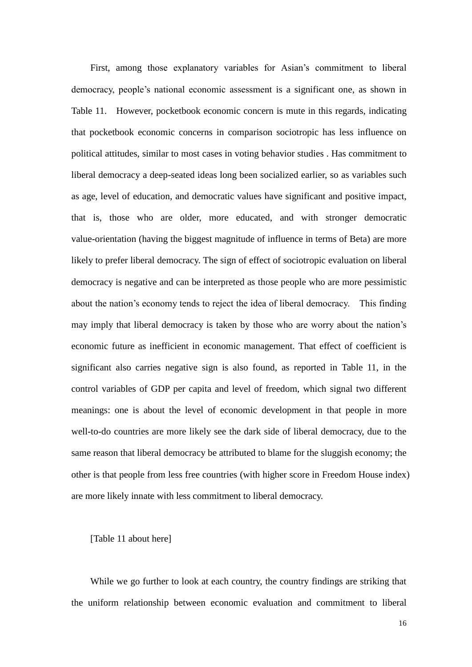First, among those explanatory variables for Asian's commitment to liberal democracy, people's national economic assessment is a significant one, as shown in Table 11. However, pocketbook economic concern is mute in this regards, indicating that pocketbook economic concerns in comparison sociotropic has less influence on political attitudes, similar to most cases in voting behavior studies . Has commitment to liberal democracy a deep-seated ideas long been socialized earlier, so as variables such as age, level of education, and democratic values have significant and positive impact, that is, those who are older, more educated, and with stronger democratic value-orientation (having the biggest magnitude of influence in terms of Beta) are more likely to prefer liberal democracy. The sign of effect of sociotropic evaluation on liberal democracy is negative and can be interpreted as those people who are more pessimistic about the nation's economy tends to reject the idea of liberal democracy. This finding may imply that liberal democracy is taken by those who are worry about the nation's economic future as inefficient in economic management. That effect of coefficient is significant also carries negative sign is also found, as reported in Table 11, in the control variables of GDP per capita and level of freedom, which signal two different meanings: one is about the level of economic development in that people in more well-to-do countries are more likely see the dark side of liberal democracy, due to the same reason that liberal democracy be attributed to blame for the sluggish economy; the other is that people from less free countries (with higher score in Freedom House index) are more likely innate with less commitment to liberal democracy.

### [Table 11 about here]

While we go further to look at each country, the country findings are striking that the uniform relationship between economic evaluation and commitment to liberal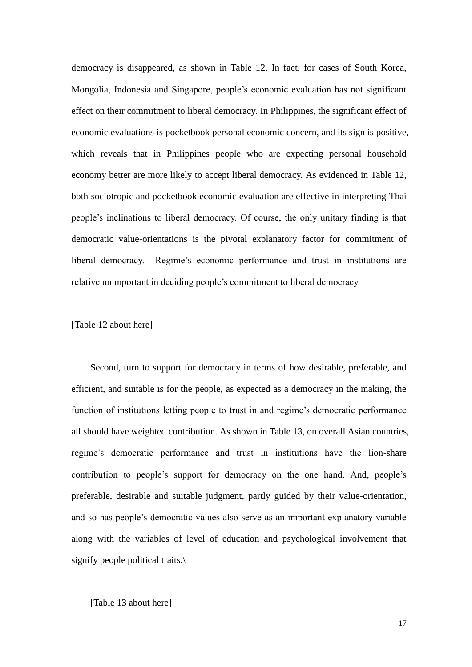democracy is disappeared, as shown in Table 12. In fact, for cases of South Korea, Mongolia, Indonesia and Singapore, people's economic evaluation has not significant effect on their commitment to liberal democracy. In Philippines, the significant effect of economic evaluations is pocketbook personal economic concern, and its sign is positive, which reveals that in Philippines people who are expecting personal household economy better are more likely to accept liberal democracy. As evidenced in Table 12, both sociotropic and pocketbook economic evaluation are effective in interpreting Thai people's inclinations to liberal democracy. Of course, the only unitary finding is that democratic value-orientations is the pivotal explanatory factor for commitment of liberal democracy. Regime's economic performance and trust in institutions are relative unimportant in deciding people's commitment to liberal democracy.

[Table 12 about here]

Second, turn to support for democracy in terms of how desirable, preferable, and efficient, and suitable is for the people, as expected as a democracy in the making, the function of institutions letting people to trust in and regime's democratic performance all should have weighted contribution. As shown in Table 13, on overall Asian countries, regime's democratic performance and trust in institutions have the lion-share contribution to people's support for democracy on the one hand. And, people's preferable, desirable and suitable judgment, partly guided by their value-orientation, and so has people's democratic values also serve as an important explanatory variable along with the variables of level of education and psychological involvement that signify people political traits.\

[Table 13 about here]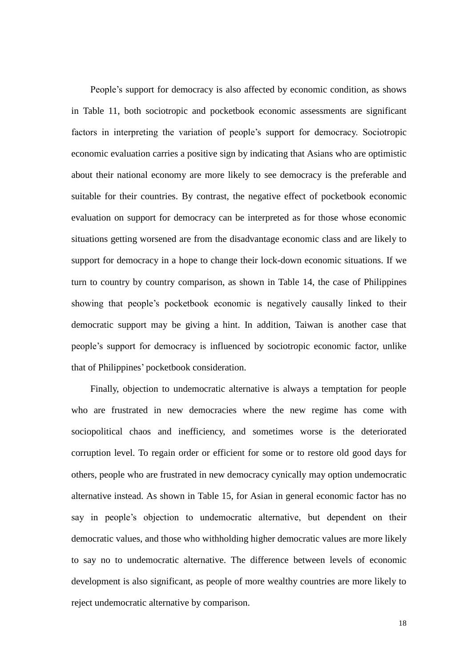People's support for democracy is also affected by economic condition, as shows in Table 11, both sociotropic and pocketbook economic assessments are significant factors in interpreting the variation of people's support for democracy. Sociotropic economic evaluation carries a positive sign by indicating that Asians who are optimistic about their national economy are more likely to see democracy is the preferable and suitable for their countries. By contrast, the negative effect of pocketbook economic evaluation on support for democracy can be interpreted as for those whose economic situations getting worsened are from the disadvantage economic class and are likely to support for democracy in a hope to change their lock-down economic situations. If we turn to country by country comparison, as shown in Table 14, the case of Philippines showing that people's pocketbook economic is negatively causally linked to their democratic support may be giving a hint. In addition, Taiwan is another case that people's support for democracy is influenced by sociotropic economic factor, unlike that of Philippines' pocketbook consideration.

Finally, objection to undemocratic alternative is always a temptation for people who are frustrated in new democracies where the new regime has come with sociopolitical chaos and inefficiency, and sometimes worse is the deteriorated corruption level. To regain order or efficient for some or to restore old good days for others, people who are frustrated in new democracy cynically may option undemocratic alternative instead. As shown in Table 15, for Asian in general economic factor has no say in people's objection to undemocratic alternative, but dependent on their democratic values, and those who withholding higher democratic values are more likely to say no to undemocratic alternative. The difference between levels of economic development is also significant, as people of more wealthy countries are more likely to reject undemocratic alternative by comparison.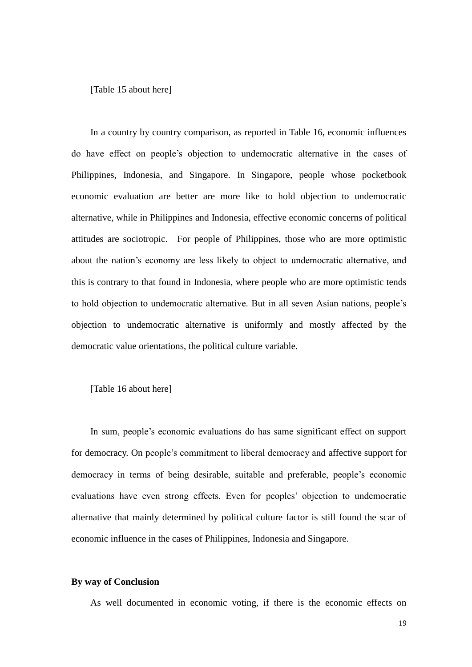[Table 15 about here]

In a country by country comparison, as reported in Table 16, economic influences do have effect on people's objection to undemocratic alternative in the cases of Philippines, Indonesia, and Singapore. In Singapore, people whose pocketbook economic evaluation are better are more like to hold objection to undemocratic alternative, while in Philippines and Indonesia, effective economic concerns of political attitudes are sociotropic. For people of Philippines, those who are more optimistic about the nation's economy are less likely to object to undemocratic alternative, and this is contrary to that found in Indonesia, where people who are more optimistic tends to hold objection to undemocratic alternative. But in all seven Asian nations, people's objection to undemocratic alternative is uniformly and mostly affected by the democratic value orientations, the political culture variable.

[Table 16 about here]

In sum, people's economic evaluations do has same significant effect on support for democracy. On people's commitment to liberal democracy and affective support for democracy in terms of being desirable, suitable and preferable, people's economic evaluations have even strong effects. Even for peoples' objection to undemocratic alternative that mainly determined by political culture factor is still found the scar of economic influence in the cases of Philippines, Indonesia and Singapore.

### **By way of Conclusion**

As well documented in economic voting, if there is the economic effects on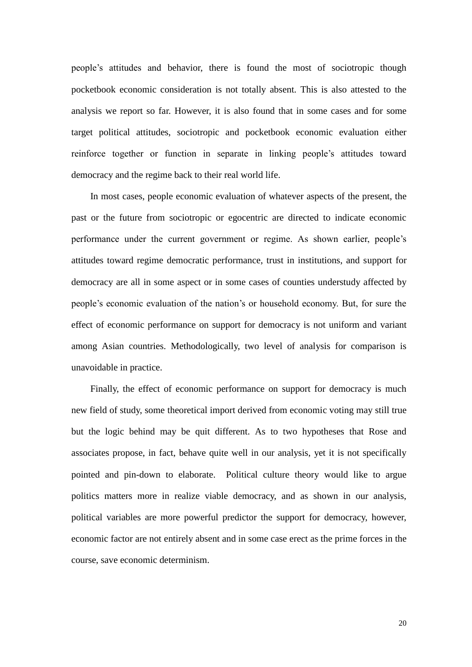people's attitudes and behavior, there is found the most of sociotropic though pocketbook economic consideration is not totally absent. This is also attested to the analysis we report so far. However, it is also found that in some cases and for some target political attitudes, sociotropic and pocketbook economic evaluation either reinforce together or function in separate in linking people's attitudes toward democracy and the regime back to their real world life.

In most cases, people economic evaluation of whatever aspects of the present, the past or the future from sociotropic or egocentric are directed to indicate economic performance under the current government or regime. As shown earlier, people's attitudes toward regime democratic performance, trust in institutions, and support for democracy are all in some aspect or in some cases of counties understudy affected by people's economic evaluation of the nation's or household economy. But, for sure the effect of economic performance on support for democracy is not uniform and variant among Asian countries. Methodologically, two level of analysis for comparison is unavoidable in practice.

Finally, the effect of economic performance on support for democracy is much new field of study, some theoretical import derived from economic voting may still true but the logic behind may be quit different. As to two hypotheses that Rose and associates propose, in fact, behave quite well in our analysis, yet it is not specifically pointed and pin-down to elaborate. Political culture theory would like to argue politics matters more in realize viable democracy, and as shown in our analysis, political variables are more powerful predictor the support for democracy, however, economic factor are not entirely absent and in some case erect as the prime forces in the course, save economic determinism.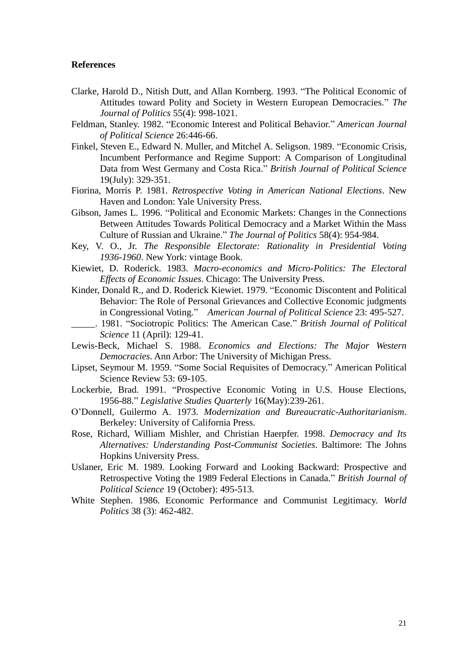### **References**

- Clarke, Harold D., Nitish Dutt, and Allan Kornberg. 1993. "The Political Economic of Attitudes toward Polity and Society in Western European Democracies." *The Journal of Politics* 55(4): 998-1021.
- Feldman, Stanley. 1982. "Economic Interest and Political Behavior." *American Journal of Political Science* 26:446-66.
- Finkel, Steven E., Edward N. Muller, and Mitchel A. Seligson. 1989. "Economic Crisis, Incumbent Performance and Regime Support: A Comparison of Longitudinal Data from West Germany and Costa Rica." *British Journal of Political Science* 19(July): 329-351.
- Fiorina, Morris P. 1981. *Retrospective Voting in American National Elections*. New Haven and London: Yale University Press.
- Gibson, James L. 1996. "Political and Economic Markets: Changes in the Connections Between Attitudes Towards Political Democracy and a Market Within the Mass Culture of Russian and Ukraine." *The Journal of Politics* 58(4): 954-984.
- Key, V. O., Jr. *The Responsible Electorate: Rationality in Presidential Voting 1936-1960*. New York: vintage Book.
- Kiewiet, D. Roderick. 1983. *Macro-economics and Micro-Politics: The Electoral Effects of Economic Issues*. Chicago: The University Press.
- Kinder, Donald R., and D. Roderick Kiewiet. 1979. "Economic Discontent and Political Behavior: The Role of Personal Grievances and Collective Economic judgments in Congressional Voting." *American Journal of Political Science* 23: 495-527.
- \_\_\_\_\_. 1981. "Sociotropic Politics: The American Case." *British Journal of Political Science* 11 (April): 129-41.
- Lewis-Beck, Michael S. 1988. *Economics and Elections: The Major Western Democracies*. Ann Arbor: The University of Michigan Press.
- Lipset, Seymour M. 1959. "Some Social Requisites of Democracy." American Political Science Review 53: 69-105.
- Lockerbie, Brad. 1991. "Prospective Economic Voting in U.S. House Elections, 1956-88." *Legislative Studies Quarterly* 16(May):239-261.
- O'Donnell, Guilermo A. 1973. *Modernization and Bureaucratic-Authoritarianism*. Berkeley: University of California Press.
- Rose, Richard, William Mishler, and Christian Haerpfer. 1998. *Democracy and Its Alternatives: Understanding Post-Communist Societies*. Baltimore: The Johns Hopkins University Press.
- Uslaner, Eric M. 1989. Looking Forward and Looking Backward: Prospective and Retrospective Voting the 1989 Federal Elections in Canada." *British Journal of Political Science* 19 (October): 495-513.
- White Stephen. 1986. Economic Performance and Communist Legitimacy. *World Politics* 38 (3): 462-482.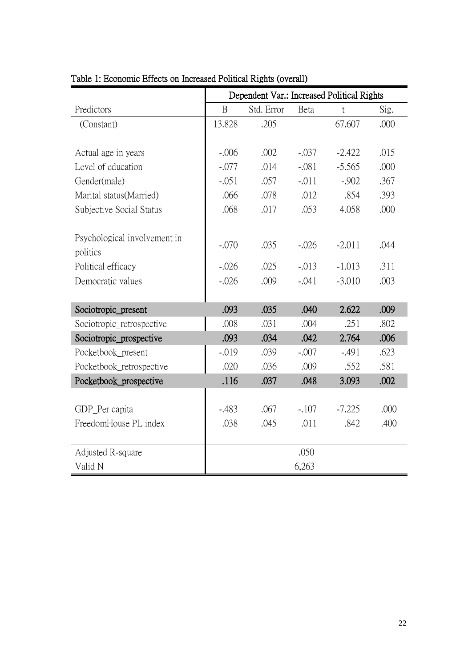|                              | Dependent Var.: Increased Political Rights |            |         |             |       |  |  |  |
|------------------------------|--------------------------------------------|------------|---------|-------------|-------|--|--|--|
| Predictors                   | $\mathbf B$                                | Std. Error | Beta    | $\mathsf t$ | Sig.  |  |  |  |
| (Constant)                   | 13.828                                     | .205       |         | 67.607      | .000  |  |  |  |
|                              |                                            |            |         |             |       |  |  |  |
| Actual age in years          | $-.006$                                    | .002       | $-.037$ | $-2.422$    | .015  |  |  |  |
| Level of education           | $-.077$                                    | .014       | $-.081$ | $-5.565$    | .000  |  |  |  |
| Gender(male)                 | $-.051$                                    | .057       | $-.011$ | $-0.902$    | .367  |  |  |  |
| Marital status(Married)      | .066                                       | .078       | .012    | .854        | .393  |  |  |  |
| Subjective Social Status     | .068                                       | .017       | .053    | 4.058       | .000  |  |  |  |
|                              |                                            |            |         |             |       |  |  |  |
| Psychological involvement in | $-.070$                                    | .035       | $-.026$ | $-2.011$    | .044  |  |  |  |
| politics                     |                                            |            |         |             |       |  |  |  |
| Political efficacy           | $-.026$                                    | .025       | $-.013$ | $-1.013$    | .311  |  |  |  |
| Democratic values            | $-.026$                                    | .009       | $-.041$ | $-3.010$    | .003  |  |  |  |
|                              |                                            |            |         |             |       |  |  |  |
| Sociotropic_present          | .093                                       | .035       | .040    | 2.622       | .009  |  |  |  |
| Sociotropic_retrospective    | .008                                       | .031       | .004    | .251        | .802  |  |  |  |
| Sociotropic_prospective      | .093                                       | .034       | .042    | 2.764       | .006  |  |  |  |
| Pocketbook_present           | $-.019$                                    | .039       | $-.007$ | $-.491$     | .623  |  |  |  |
| Pocketbook retrospective     | .020                                       | .036       | .009    | .552        | .581  |  |  |  |
| Pocketbook_prospective       | .116                                       | .037       | .048    | 3.093       | .002  |  |  |  |
|                              |                                            |            |         |             |       |  |  |  |
| GDP_Per capita               | $-.483$                                    | .067       | $-.107$ | $-7.225$    | .000. |  |  |  |
| FreedomHouse PL index        | .038                                       | .045       | .011    | .842        | .400  |  |  |  |
|                              |                                            |            |         |             |       |  |  |  |
| Adjusted R-square            |                                            |            | .050    |             |       |  |  |  |
| Valid N                      |                                            |            | 6,263   |             |       |  |  |  |

# Table 1: Economic Effects on Increased Political Rights (overall)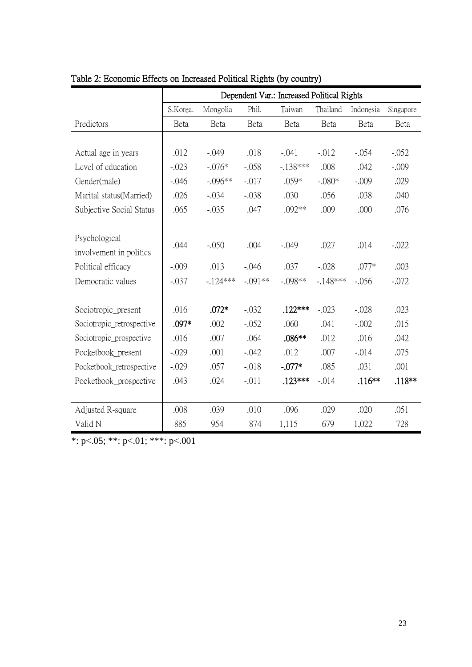|                           | Dependent Var.: Increased Political Rights |           |           |           |           |           |           |  |  |
|---------------------------|--------------------------------------------|-----------|-----------|-----------|-----------|-----------|-----------|--|--|
|                           | S.Korea.                                   | Mongolia  | Phil.     | Taiwan    | Thailand  | Indonesia | Singapore |  |  |
| Predictors                | Beta                                       | Beta      | Beta      | Beta      | Beta      | Beta      | Beta      |  |  |
|                           |                                            |           |           |           |           |           |           |  |  |
| Actual age in years       | .012                                       | $-.049$   | .018      | $-.041$   | $-.012$   | $-.054$   | $-.052$   |  |  |
| Level of education        | $-.023$                                    | $-.076*$  | $-.058$   | $-138***$ | .008      | .042      | $-.009$   |  |  |
| Gender(male)              | $-.046$                                    | $-.096**$ | $-.017$   | $.059*$   | $-.080*$  | $-.009$   | .029      |  |  |
| Marital status (Married)  | .026                                       | $-.034$   | $-.038$   | .030      | .056      | .038      | .040      |  |  |
| Subjective Social Status  | .065                                       | $-.035$   | .047      | $.092**$  | .009      | .000      | .076      |  |  |
|                           |                                            |           |           |           |           |           |           |  |  |
| Psychological             | .044                                       | $-.050$   | .004      | $-.049$   | .027      | .014      | $-.022$   |  |  |
| involvement in politics   |                                            |           |           |           |           |           |           |  |  |
| Political efficacy        | $-.009$                                    | .013      | $-.046$   | .037      | $-.028$   | $.077*$   | .003      |  |  |
| Democratic values         | $-.037$                                    | $-124***$ | $-.091**$ | $-.098**$ | $-148***$ | $-.056$   | $-.072$   |  |  |
|                           |                                            |           |           |           |           |           |           |  |  |
| Sociotropic_present       | .016                                       | $.072*$   | $-.032$   | $.122***$ | $-.023$   | $-.028$   | .023      |  |  |
| Sociotropic_retrospective | .097*                                      | .002      | $-.052$   | .060      | .041      | $-.002$   | .015      |  |  |
| Sociotropic_prospective   | .016                                       | .007      | .064      | $.086**$  | .012      | .016      | .042      |  |  |
| Pocketbook present        | $-.029$                                    | .001      | $-.042$   | .012      | .007      | $-.014$   | .075      |  |  |
| Pocketbook_retrospective  | $-.029$                                    | .057      | $-.018$   | $-.077*$  | .085      | .031      | .001      |  |  |
| Pocketbook prospective    | .043                                       | .024      | $-.011$   | $.123***$ | $-.014$   | $.116**$  | .118**    |  |  |
|                           |                                            |           |           |           |           |           |           |  |  |
| Adjusted R-square         | .008                                       | .039      | .010      | .096      | .029      | .020      | .051      |  |  |
| Valid N                   | 885                                        | 954       | 874       | 1,115     | 679       | 1,022     | 728       |  |  |

| Table 2: Economic Effects on Increased Political Rights (by country) |  |  |
|----------------------------------------------------------------------|--|--|
|                                                                      |  |  |

\*:  $p<.05;$  \*\*:  $p<.01;$  \*\*\*:  $p<.001$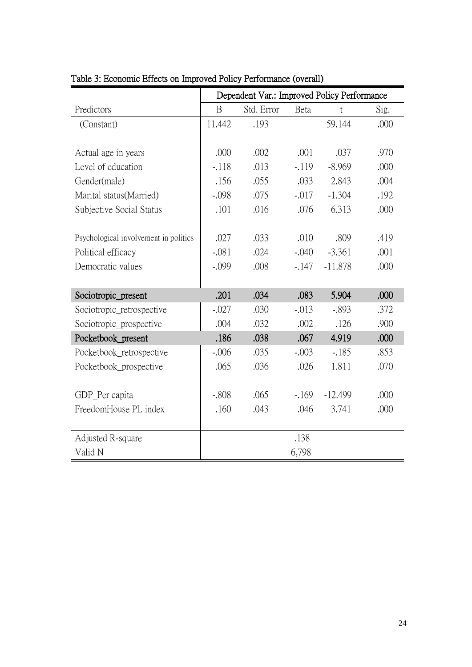|                                       | Dependent Var.: Improved Policy Performance |            |          |           |      |  |  |  |
|---------------------------------------|---------------------------------------------|------------|----------|-----------|------|--|--|--|
| Predictors                            | $\mathbf B$                                 | Std. Error | Beta     | t         | Sig. |  |  |  |
| (Constant)                            | 11.442                                      | .193       |          | 59.144    | .000 |  |  |  |
|                                       |                                             |            |          |           |      |  |  |  |
| Actual age in years                   | .000                                        | .002       | .001     | .037      | .970 |  |  |  |
| Level of education                    | $-.118$                                     | .013       | $-.119$  | $-8.969$  | .000 |  |  |  |
| Gender(male)                          | .156                                        | .055       | .033     | 2.843     | .004 |  |  |  |
| Marital status (Married)              | $-.098$                                     | .075       | $-0.017$ | $-1.304$  | .192 |  |  |  |
| Subjective Social Status              | .101                                        | .016       | .076     | 6.313     | .000 |  |  |  |
|                                       |                                             |            |          |           |      |  |  |  |
| Psychological involvement in politics | .027                                        | .033       | .010     | .809      | .419 |  |  |  |
| Political efficacy                    | $-.081$                                     | .024       | $-.040$  | $-3.361$  | .001 |  |  |  |
| Democratic values                     | $-.099$                                     | .008       | $-147$   | $-11.878$ | .000 |  |  |  |
|                                       |                                             |            |          |           |      |  |  |  |
| Sociotropic_present                   | .201                                        | .034       | .083     | 5.904     | .000 |  |  |  |
| Sociotropic_retrospective             | $-.027$                                     | .030       | $-.013$  | $-.893$   | .372 |  |  |  |
| Sociotropic_prospective               | .004                                        | .032       | .002     | .126      | .900 |  |  |  |
| Pocketbook_present                    | .186                                        | .038       | .067     | 4.919     | .000 |  |  |  |
| Pocketbook_retrospective              | $-.006$                                     | .035       | $-.003$  | $-.185$   | .853 |  |  |  |
| Pocketbook_prospective                | .065                                        | .036       | .026     | 1.811     | .070 |  |  |  |
|                                       |                                             |            |          |           |      |  |  |  |
| GDP_Per capita                        | $-.808$                                     | .065       | $-169$   | $-12.499$ | .000 |  |  |  |
| FreedomHouse PL index                 | .160                                        | .043       | .046     | 3.741     | .000 |  |  |  |
|                                       |                                             |            |          |           |      |  |  |  |
| Adjusted R-square                     |                                             |            | .138     |           |      |  |  |  |
| Valid N                               |                                             |            | 6,798    |           |      |  |  |  |

# Table 3: Economic Effects on Improved Policy Performance (overall)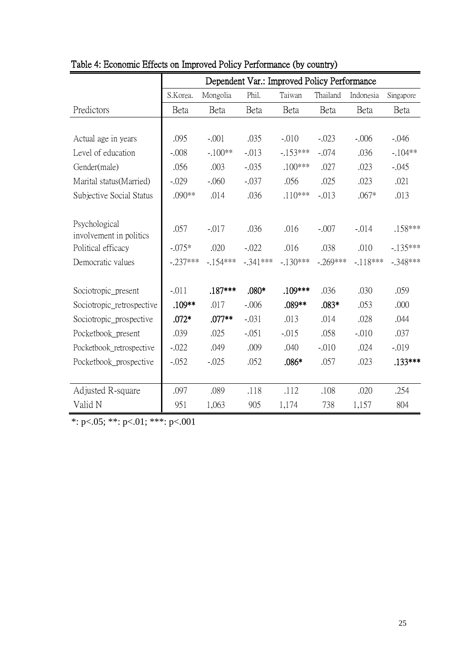|                                          | Dependent Var.: Improved Policy Performance |              |              |             |             |             |             |  |  |
|------------------------------------------|---------------------------------------------|--------------|--------------|-------------|-------------|-------------|-------------|--|--|
|                                          | S.Korea.                                    | Mongolia     | Phil.        | Taiwan      | Thailand    | Indonesia   | Singapore   |  |  |
| Predictors                               | <b>Beta</b>                                 | <b>B</b> eta | <b>B</b> eta | <b>Beta</b> | <b>Beta</b> | <b>Beta</b> | <b>Beta</b> |  |  |
|                                          |                                             |              |              |             |             |             |             |  |  |
| Actual age in years                      | .095                                        | $-.001$      | .035         | $-.010$     | $-.023$     | $-.006$     | $-.046$     |  |  |
| Level of education                       | $-.008$                                     | $-.100**$    | $-.013$      | $-153***$   | $-.074$     | .036        | $-.104**$   |  |  |
| Gender(male)                             | .056                                        | .003         | $-.035$      | $.100***$   | .027        | .023        | $-.045$     |  |  |
| Marital status (Married)                 | $-.029$                                     | $-.060$      | $-.037$      | .056        | .025        | .023        | .021        |  |  |
| Subjective Social Status                 | .090**                                      | .014         | .036         | $.110***$   | $-.013$     | $.067*$     | .013        |  |  |
|                                          |                                             |              |              |             |             |             |             |  |  |
| Psychological<br>involvement in politics | .057                                        | $-.017$      | .036         | .016        | $-.007$     | $-.014$     | .158***     |  |  |
| Political efficacy                       | $-.075*$                                    | .020         | $-.022$      | .016        | .038        | .010        | $-.135***$  |  |  |
| Democratic values                        | $-.237***$                                  | $-154***$    | $-.341***$   | $-130***$   | $-.269***$  | $-118***$   | $-348***$   |  |  |
|                                          |                                             |              |              |             |             |             |             |  |  |
| Sociotropic_present                      | $-.011$                                     | .187***      | $.080*$      | $.109***$   | .036        | .030        | .059        |  |  |
| Sociotropic_retrospective                | .109**                                      | .017         | $-.006$      | .089**      | $.083*$     | .053        | .000        |  |  |
| Sociotropic_prospective                  | $.072*$                                     | $.077**$     | $-.031$      | .013        | .014        | .028        | .044        |  |  |
| Pocketbook present                       | .039                                        | .025         | $-.051$      | $-.015$     | .058        | $-.010$     | .037        |  |  |
| Pocketbook_retrospective                 | $-.022$                                     | .049         | .009         | .040        | $-.010$     | .024        | $-.019$     |  |  |
| Pocketbook_prospective                   | $-.052$                                     | $-.025$      | .052         | .086*       | .057        | .023        | .133***     |  |  |
|                                          |                                             |              |              |             |             |             |             |  |  |
| Adjusted R-square                        | .097                                        | .089         | .118         | .112        | .108        | .020        | .254        |  |  |
| Valid N                                  | 951                                         | 1,063        | 905          | 1,174       | 738         | 1,157       | 804         |  |  |

Table 4: Economic Effects on Improved Policy Performance (by country)

\*:  $p<.05;$  \*\*:  $p<.01;$  \*\*\*:  $p<.001$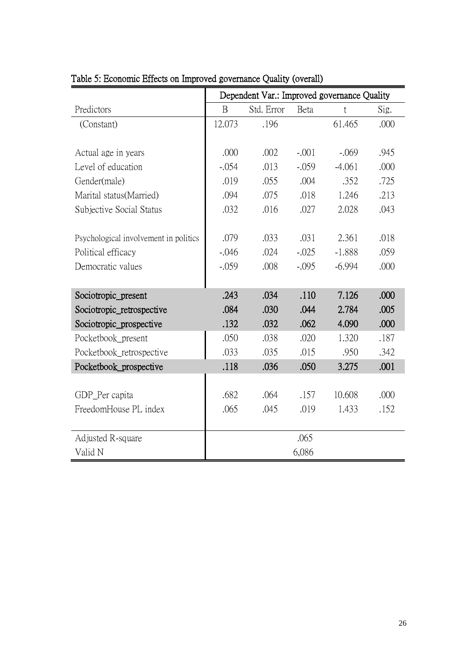|                                       | Dependent Var.: Improved governance Quality |            |         |          |      |  |  |  |
|---------------------------------------|---------------------------------------------|------------|---------|----------|------|--|--|--|
| Predictors                            | B                                           | Std. Error | Beta    | t        | Sig. |  |  |  |
| (Constant)                            | 12.073                                      | .196       |         | 61.465   | .000 |  |  |  |
|                                       |                                             |            |         |          |      |  |  |  |
| Actual age in years                   | .000                                        | .002       | $-.001$ | $-.069$  | .945 |  |  |  |
| Level of education                    | $-.054$                                     | .013       | $-.059$ | $-4.061$ | .000 |  |  |  |
| Gender(male)                          | .019                                        | .055       | .004    | .352     | .725 |  |  |  |
| Marital status(Married)               | .094                                        | .075       | .018    | 1.246    | .213 |  |  |  |
| Subjective Social Status              | .032                                        | .016       | .027    | 2.028    | .043 |  |  |  |
|                                       |                                             |            |         |          |      |  |  |  |
| Psychological involvement in politics | .079                                        | .033       | .031    | 2.361    | .018 |  |  |  |
| Political efficacy                    | $-.046$                                     | .024       | $-.025$ | $-1.888$ | .059 |  |  |  |
| Democratic values                     | $-.059$                                     | .008       | $-.095$ | $-6.994$ | .000 |  |  |  |
|                                       |                                             |            |         |          |      |  |  |  |
| Sociotropic_present                   | .243                                        | .034       | .110    | 7.126    | .000 |  |  |  |
| Sociotropic_retrospective             | .084                                        | .030       | .044    | 2.784    | .005 |  |  |  |
| Sociotropic_prospective               | .132                                        | .032       | .062    | 4.090    | .000 |  |  |  |
| Pocketbook_present                    | .050                                        | .038       | .020    | 1.320    | .187 |  |  |  |
| Pocketbook_retrospective              | .033                                        | .035       | .015    | .950     | .342 |  |  |  |
| Pocketbook_prospective                | .118                                        | .036       | .050    | 3.275    | .001 |  |  |  |
|                                       |                                             |            |         |          |      |  |  |  |
| GDP_Per capita                        | .682                                        | .064       | .157    | 10.608   | .000 |  |  |  |
| FreedomHouse PL index                 | .065                                        | .045       | .019    | 1.433    | .152 |  |  |  |
|                                       |                                             |            |         |          |      |  |  |  |
| Adjusted R-square                     |                                             |            | .065    |          |      |  |  |  |
| Valid N                               |                                             |            | 6,086   |          |      |  |  |  |

Table 5: Economic Effects on Improved governance Quality (overall)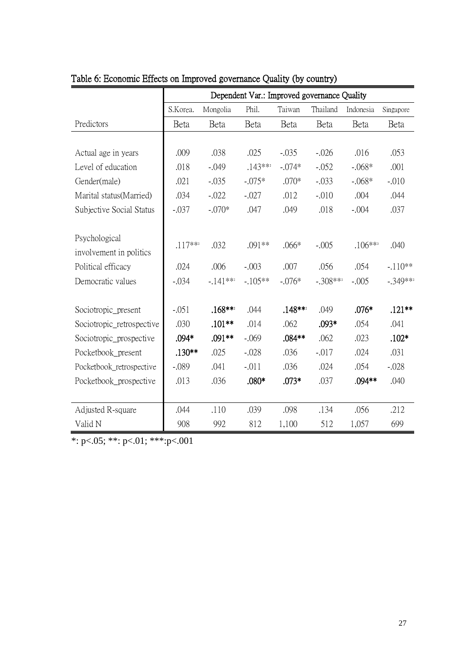|                           | Dependent Var.: Improved governance Quality |           |             |             |             |             |           |  |  |
|---------------------------|---------------------------------------------|-----------|-------------|-------------|-------------|-------------|-----------|--|--|
|                           | S.Korea.                                    | Mongolia  | Phil.       | Taiwan      | Thailand    | Indonesia   | Singapore |  |  |
| Predictors                | Beta                                        | Beta      | <b>Beta</b> | <b>Beta</b> | <b>Beta</b> | <b>Beta</b> | Beta      |  |  |
|                           |                                             |           |             |             |             |             |           |  |  |
| Actual age in years       | .009                                        | .038      | .025        | $-.035$     | $-.026$     | .016        | .053      |  |  |
| Level of education        | .018                                        | $-.049$   | $.143***$   | $-.074*$    | $-.052$     | $-.068*$    | .001      |  |  |
| Gender(male)              | .021                                        | $-.035$   | $-.075*$    | $.070*$     | $-.033$     | $-.068*$    | $-.010$   |  |  |
| Marital status(Married)   | .034                                        | $-.022$   | $-.027$     | .012        | $-.010$     | .004        | .044      |  |  |
| Subjective Social Status  | $-.037$                                     | $-.070*$  | .047        | .049        | .018        | $-.004$     | .037      |  |  |
|                           |                                             |           |             |             |             |             |           |  |  |
| Psychological             | $.117***$                                   | .032      | $.091**$    | $.066*$     | $-.005$     | $.106***$   | .040      |  |  |
| involvement in politics   |                                             |           |             |             |             |             |           |  |  |
| Political efficacy        | .024                                        | .006      | $-.003$     | .007        | .056        | .054        | $-.110**$ |  |  |
| Democratic values         | $-.034$                                     | $-141***$ | $-.105**$   | $-.076*$    | $-.308***$  | $-.005$     | $-349***$ |  |  |
|                           |                                             |           |             |             |             |             |           |  |  |
| Sociotropic_present       | $-.051$                                     | $.168***$ | .044        | .148**      | .049        | $.076*$     | $.121**$  |  |  |
| Sociotropic_retrospective | .030                                        | $.101**$  | .014        | .062        | $.093*$     | .054        | .041      |  |  |
| Sociotropic prospective   | $.094*$                                     | .091**    | $-.069$     | .084**      | .062        | .023        | $.102*$   |  |  |
| Pocketbook present        | $.130**$                                    | .025      | $-.028$     | .036        | $-0.017$    | .024        | .031      |  |  |
| Pocketbook_retrospective  | $-.089$                                     | .041      | $-.011$     | .036        | .024        | .054        | $-.028$   |  |  |
| Pocketbook_prospective    | .013                                        | .036      | $.080*$     | $.073*$     | .037        | .094**      | .040      |  |  |
|                           |                                             |           |             |             |             |             |           |  |  |
| Adjusted R-square         | .044                                        | .110      | .039        | .098        | .134        | .056        | .212      |  |  |
| Valid N                   | 908                                         | 992       | 812         | 1,100       | 512         | 1,057       | 699       |  |  |

|  |  | Table 6: Economic Effects on Improved governance Quality (by country) |  |  |
|--|--|-----------------------------------------------------------------------|--|--|

\*: p<.05; \*\*: p<.01; \*\*\*: p<.001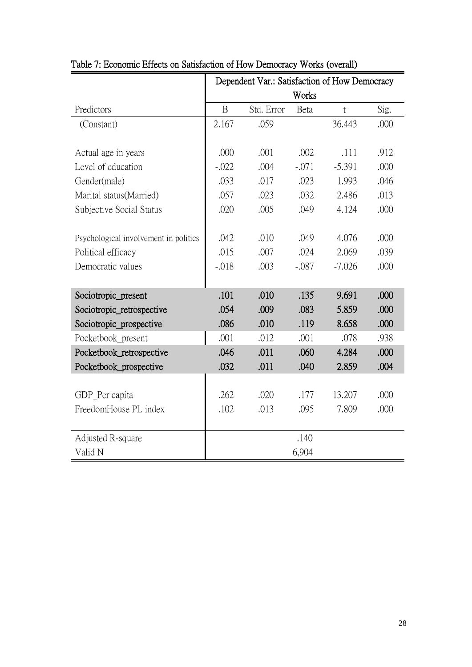|                                       | Dependent Var.: Satisfaction of How Democracy |            |         |          |      |  |  |  |  |
|---------------------------------------|-----------------------------------------------|------------|---------|----------|------|--|--|--|--|
|                                       | Works                                         |            |         |          |      |  |  |  |  |
| Predictors                            | $\mathbf{B}$                                  | Std. Error | Beta    | t        | Sig. |  |  |  |  |
| (Constant)                            | 2.167                                         | .059       |         | 36.443   | .000 |  |  |  |  |
|                                       |                                               |            |         |          |      |  |  |  |  |
| Actual age in years                   | .000                                          | .001       | .002    | .111     | .912 |  |  |  |  |
| Level of education                    | $-.022$                                       | .004       | $-.071$ | $-5.391$ | .000 |  |  |  |  |
| Gender(male)                          | .033                                          | .017       | .023    | 1.993    | .046 |  |  |  |  |
| Marital status (Married)              | .057                                          | .023       | .032    | 2.486    | .013 |  |  |  |  |
| Subjective Social Status              | .020                                          | .005       | .049    | 4.124    | .000 |  |  |  |  |
|                                       |                                               |            |         |          |      |  |  |  |  |
| Psychological involvement in politics | .042                                          | .010       | .049    | 4.076    | .000 |  |  |  |  |
| Political efficacy                    | .015                                          | .007       | .024    | 2.069    | .039 |  |  |  |  |
| Democratic values                     | $-.018$                                       | .003       | $-.087$ | $-7.026$ | .000 |  |  |  |  |
|                                       |                                               |            |         |          |      |  |  |  |  |
| Sociotropic_present                   | .101                                          | .010       | .135    | 9.691    | .000 |  |  |  |  |
| Sociotropic_retrospective             | .054                                          | .009       | .083    | 5.859    | .000 |  |  |  |  |
| Sociotropic_prospective               | .086                                          | .010       | .119    | 8.658    | .000 |  |  |  |  |
| Pocketbook_present                    | .001                                          | .012       | .001    | .078     | .938 |  |  |  |  |
| Pocketbook_retrospective              | .046                                          | .011       | .060    | 4.284    | .000 |  |  |  |  |
| Pocketbook_prospective                | .032                                          | .011       | .040    | 2.859    | .004 |  |  |  |  |
|                                       |                                               |            |         |          |      |  |  |  |  |
| GDP_Per capita                        | .262                                          | .020       | .177    | 13.207   | .000 |  |  |  |  |
| FreedomHouse PL index                 | .102                                          | .013       | .095    | 7.809    | .000 |  |  |  |  |
|                                       |                                               |            |         |          |      |  |  |  |  |
| Adjusted R-square                     |                                               |            | .140    |          |      |  |  |  |  |
| Valid N                               |                                               |            | 6,904   |          |      |  |  |  |  |

Table 7: Economic Effects on Satisfaction of How Democracy Works (overall)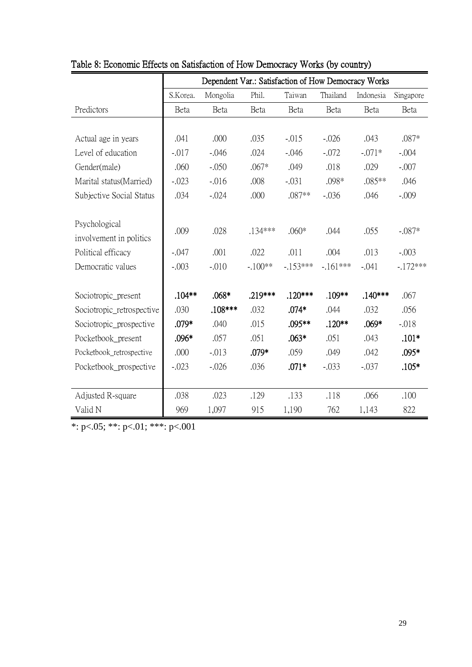|                           | Dependent Var.: Satisfaction of How Democracy Works |          |           |            |            |           |            |  |  |  |
|---------------------------|-----------------------------------------------------|----------|-----------|------------|------------|-----------|------------|--|--|--|
|                           | S.Korea.                                            | Mongolia | Phil.     | Taiwan     | Thailand   | Indonesia | Singapore  |  |  |  |
| Predictors                | Beta                                                | Beta     | Beta      | Beta       | Beta       | Beta      | Beta       |  |  |  |
|                           |                                                     |          |           |            |            |           |            |  |  |  |
| Actual age in years       | .041                                                | .000     | .035      | $-.015$    | $-.026$    | .043      | $.087*$    |  |  |  |
| Level of education        | $-.017$                                             | $-.046$  | .024      | $-.046$    | $-.072$    | $-.071*$  | $-.004$    |  |  |  |
| Gender(male)              | .060                                                | $-.050$  | $.067*$   | .049       | .018       | .029      | $-.007$    |  |  |  |
| Marital status (Married)  | $-.023$                                             | $-0.016$ | .008      | $-.031$    | .098*      | .085**    | .046       |  |  |  |
| Subjective Social Status  | .034                                                | $-.024$  | .000      | $.087**$   | $-.036$    | .046      | $-.009$    |  |  |  |
|                           |                                                     |          |           |            |            |           |            |  |  |  |
| Psychological             | .009                                                | .028     | .134***   | $.060*$    | .044       | .055      | $-.087*$   |  |  |  |
| involvement in politics   |                                                     |          |           |            |            |           |            |  |  |  |
| Political efficacy        | $-.047$                                             | .001     | .022      | .011       | .004       | .013      | $-.003$    |  |  |  |
| Democratic values         | $-.003$                                             | $-.010$  | $-.100**$ | $-.153***$ | $-.161***$ | $-.041$   | $-.172***$ |  |  |  |
|                           |                                                     |          |           |            |            |           |            |  |  |  |
| Sociotropic_present       | $.104**$                                            | $.068*$  | .219***   | $.120***$  | $.109**$   | $.140***$ | .067       |  |  |  |
| Sociotropic_retrospective | .030                                                | .108***  | .032      | $.074*$    | .044       | .032      | .056       |  |  |  |
| Sociotropic prospective   | .079*                                               | .040     | .015      | .095**     | $.120**$   | $.069*$   | $-.018$    |  |  |  |
| Pocketbook present        | $.096*$                                             | .057     | .051      | $.063*$    | .051       | .043      | $.101*$    |  |  |  |
| Pocketbook_retrospective  | .000                                                | $-.013$  | $.079*$   | .059       | .049       | .042      | .095*      |  |  |  |
| Pocketbook_prospective    | $-.023$                                             | $-.026$  | .036      | $.071*$    | $-.033$    | $-.037$   | $.105*$    |  |  |  |
|                           |                                                     |          |           |            |            |           |            |  |  |  |
| Adjusted R-square         | .038                                                | .023     | .129      | .133       | .118       | .066      | .100       |  |  |  |
| Valid N                   | 969                                                 | 1,097    | 915       | 1,190      | 762        | 1,143     | 822        |  |  |  |

| Table 8: Economic Effects on Satisfaction of How Democracy Works (by country) |  |  |  |
|-------------------------------------------------------------------------------|--|--|--|

 $*: p<.05; **: p<.01; **: p<.001$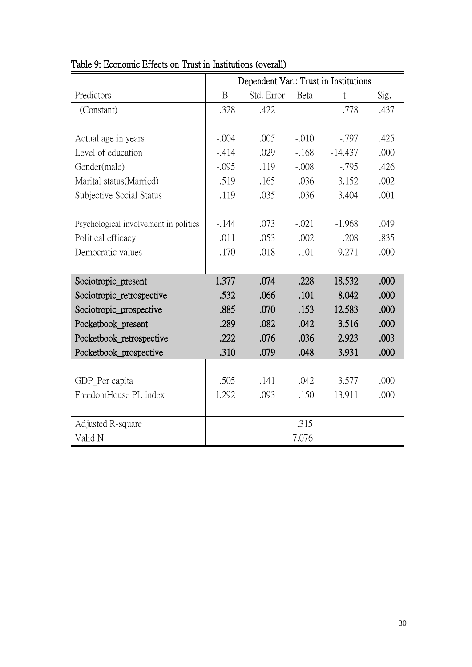|                                       | Dependent Var.: Trust in Institutions |            |         |           |      |  |  |  |
|---------------------------------------|---------------------------------------|------------|---------|-----------|------|--|--|--|
| Predictors                            | $\, {\bf B}$                          | Std. Error | Beta    | t         | Sig. |  |  |  |
| (Constant)                            | .328                                  | .422       |         | .778      | .437 |  |  |  |
|                                       |                                       |            |         |           |      |  |  |  |
| Actual age in years                   | $-.004$                               | .005       | $-.010$ | $-.797$   | .425 |  |  |  |
| Level of education                    | $-414$                                | .029       | $-168$  | $-14.437$ | .000 |  |  |  |
| Gender(male)                          | $-.095$                               | .119       | $-.008$ | $-.795$   | .426 |  |  |  |
| Marital status (Married)              | .519                                  | .165       | .036    | 3.152     | .002 |  |  |  |
| Subjective Social Status              | .119                                  | .035       | .036    | 3.404     | .001 |  |  |  |
|                                       |                                       |            |         |           |      |  |  |  |
| Psychological involvement in politics | $-144$                                | .073       | $-.021$ | $-1.968$  | .049 |  |  |  |
| Political efficacy                    | .011                                  | .053       | .002    | .208      | .835 |  |  |  |
| Democratic values                     | $-.170$                               | .018       | $-.101$ | $-9.271$  | .000 |  |  |  |
|                                       |                                       |            |         |           |      |  |  |  |
| Sociotropic_present                   | 1.377                                 | .074       | .228    | 18.532    | .000 |  |  |  |
| Sociotropic_retrospective             | .532                                  | .066       | .101    | 8.042     | .000 |  |  |  |
| Sociotropic prospective               | .885                                  | .070       | .153    | 12.583    | .000 |  |  |  |
| Pocketbook_present                    | .289                                  | .082       | .042    | 3.516     | .000 |  |  |  |
| Pocketbook_retrospective              | .222                                  | .076       | .036    | 2.923     | .003 |  |  |  |
| Pocketbook_prospective                | .310                                  | .079       | .048    | 3.931     | .000 |  |  |  |
|                                       |                                       |            |         |           |      |  |  |  |
| GDP_Per capita                        | .505                                  | .141       | .042    | 3.577     | .000 |  |  |  |
| FreedomHouse PL index                 | 1.292                                 | .093       | .150    | 13.911    | .000 |  |  |  |
|                                       |                                       |            |         |           |      |  |  |  |
| Adjusted R-square                     |                                       |            | .315    |           |      |  |  |  |
| Valid N                               |                                       |            | 7,076   |           |      |  |  |  |

# Table 9: Economic Effects on Trust in Institutions (overall)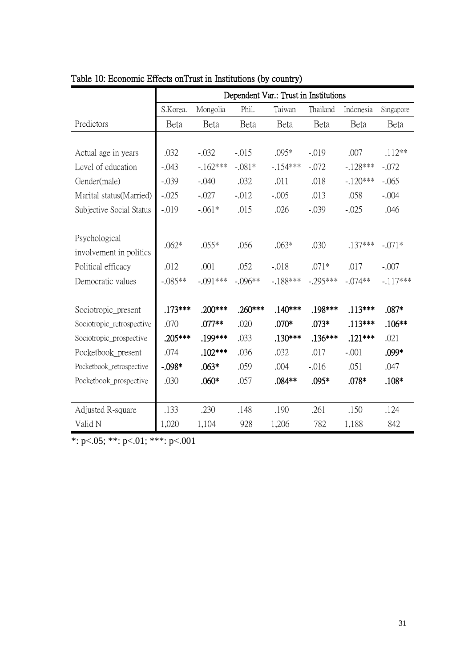|                           | Dependent Var.: Trust in Institutions |            |           |           |            |           |           |
|---------------------------|---------------------------------------|------------|-----------|-----------|------------|-----------|-----------|
|                           | S.Korea.                              | Mongolia   | Phil.     | Taiwan    | Thailand   | Indonesia | Singapore |
| Predictors                | Beta                                  | Beta       | Beta      | Beta      | Beta       | Beta      | Beta      |
|                           |                                       |            |           |           |            |           |           |
| Actual age in years       | .032                                  | $-.032$    | $-.015$   | $.095*$   | $-.019$    | .007      | $.112**$  |
| Level of education        | $-.043$                               | $-162***$  | $-.081*$  | $-154***$ | $-.072$    | $-128***$ | $-.072$   |
| Gender(male)              | $-.039$                               | $-.040$    | .032      | .011      | .018       | $-120***$ | $-.065$   |
| Marital status (Married)  | $-.025$                               | $-.027$    | $-.012$   | $-.005$   | .013       | .058      | $-.004$   |
| Subjective Social Status  | $-.019$                               | $-.061*$   | .015      | .026      | $-.039$    | $-.025$   | .046      |
|                           |                                       |            |           |           |            |           |           |
| Psychological             | $.062*$                               | $.055*$    | .056      | $.063*$   | .030       | $.137***$ | $-.071*$  |
| involvement in politics   |                                       |            |           |           |            |           |           |
| Political efficacy        | .012                                  | .001       | .052      | $-.018$   | $.071*$    | .017      | $-.007$   |
| Democratic values         | $-.085**$                             | $-.091***$ | $-.096**$ | $-188***$ | $-.295***$ | $-.074**$ | $-117***$ |
|                           |                                       |            |           |           |            |           |           |
| Sociotropic_present       | $.173***$                             | $.200***$  | $.260***$ | $.140***$ | .198***    | $.113***$ | $.087*$   |
| Sociotropic_retrospective | .070                                  | $.077**$   | .020      | $.070*$   | $.073*$    | $.113***$ | $.106**$  |
| Sociotropic_prospective   | $.205***$                             | .199***    | .033      | $.130***$ | $.136***$  | $.121***$ | .021      |
| Pocketbook present        | .074                                  | $.102***$  | .036      | .032      | .017       | $-.001$   | .099*     |
| Pocketbook_retrospective  | $-.098*$                              | $.063*$    | .059      | .004      | $-.016$    | .051      | .047      |
| Pocketbook_prospective    | .030                                  | $.060*$    | .057      | .084**    | .095*      | .078*     | $.108*$   |
|                           |                                       |            |           |           |            |           |           |
| Adjusted R-square         | .133                                  | .230       | .148      | .190      | .261       | .150      | .124      |
| Valid N                   | 1,020                                 | 1,104      | 928       | 1,206     | 782        | 1,188     | 842       |

Table 10: Economic Effects onTrust in Institutions (by country)

\*: p <.05; \*\*: p <.01; \*\*\*: p <.001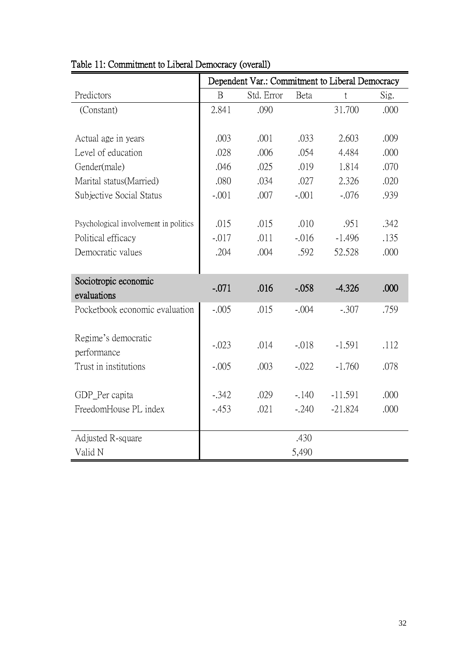|                                       | Dependent Var.: Commitment to Liberal Democracy |            |          |           |      |
|---------------------------------------|-------------------------------------------------|------------|----------|-----------|------|
| Predictors                            | B                                               | Std. Error | Beta     | t         | Sig. |
| (Constant)                            | 2.841                                           | .090       |          | 31.700    | .000 |
|                                       |                                                 |            |          |           |      |
| Actual age in years                   | .003                                            | .001       | .033     | 2.603     | .009 |
| Level of education                    | .028                                            | .006       | .054     | 4.484     | .000 |
| Gender(male)                          | .046                                            | .025       | .019     | 1.814     | .070 |
| Marital status (Married)              | .080                                            | .034       | .027     | 2.326     | .020 |
| Subjective Social Status              | $-.001$                                         | .007       | $-.001$  | $-.076$   | .939 |
|                                       |                                                 |            |          |           |      |
| Psychological involvement in politics | .015                                            | .015       | .010     | .951      | .342 |
| Political efficacy                    | $-0.017$                                        | .011       | $-0.016$ | $-1.496$  | .135 |
| Democratic values                     | .204                                            | .004       | .592     | 52.528    | .000 |
|                                       |                                                 |            |          |           |      |
| Sociotropic economic                  | $-.071$                                         | .016       | $-.058$  | $-4.326$  | .000 |
| evaluations                           |                                                 |            |          |           |      |
| Pocketbook economic evaluation        | $-.005$                                         | .015       | $-.004$  | $-.307$   | .759 |
|                                       |                                                 |            |          |           |      |
| Regime's democratic                   | $-.023$                                         | .014       | $-.018$  | $-1.591$  | .112 |
| performance                           |                                                 |            |          |           |      |
| Trust in institutions                 | $-.005$                                         | .003       | $-.022$  | $-1.760$  | .078 |
|                                       |                                                 |            |          |           |      |
| GDP_Per capita                        | $-.342$                                         | .029       | $-.140$  | $-11.591$ | .000 |
| FreedomHouse PL index                 | $-.453$                                         | .021       | $-.240$  | $-21.824$ | .000 |
|                                       |                                                 |            |          |           |      |
| Adjusted R-square                     |                                                 |            | .430     |           |      |
| Valid N                               |                                                 |            | 5,490    |           |      |

| Table 11: Commitment to Liberal Democracy (overall) |  |  |
|-----------------------------------------------------|--|--|
|                                                     |  |  |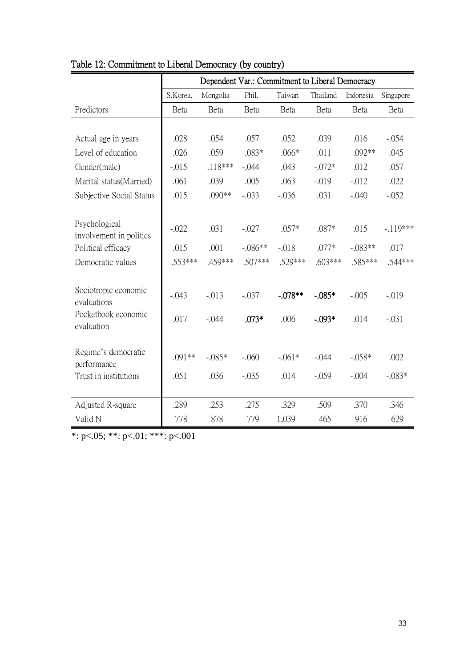|                                          | Dependent Var.: Commitment to Liberal Democracy |          |           |           |           |           |            |
|------------------------------------------|-------------------------------------------------|----------|-----------|-----------|-----------|-----------|------------|
|                                          | S.Korea.                                        | Mongolia | Phil.     | Taiwan    | Thailand  | Indonesia | Singapore  |
| Predictors                               | <b>Beta</b>                                     | Beta     | Beta      | Beta      | Beta      | Beta      | Beta       |
|                                          |                                                 |          |           |           |           |           |            |
| Actual age in years                      | .028                                            | .054     | .057      | .052      | .039      | .016      | $-.054$    |
| Level of education                       | .026                                            | .059     | $.083*$   | $.066*$   | .011      | $.092**$  | .045       |
| Gender(male)                             | $-.015$                                         | .118***  | $-.044$   | .043      | $-.072*$  | .012      | .057       |
| Marital status(Married)                  | .061                                            | .039     | .005      | .063      | $-.019$   | $-0.012$  | .022       |
| Subjective Social Status                 | .015                                            | .090**   | $-.033$   | $-.036$   | .031      | $-.040$   | $-.052$    |
|                                          |                                                 |          |           |           |           |           |            |
| Psychological<br>involvement in politics | $-.022$                                         | .031     | $-.027$   | $.057*$   | .087*     | .015      | $-.119***$ |
| Political efficacy                       | .015                                            | .001     | $-.086**$ | $-.018$   | $.077*$   | $-.083**$ | .017       |
| Democratic values                        | $.553***$                                       | .459***  | $.507***$ | .529 ***  | $.603***$ | .585***   | .544 ***   |
|                                          |                                                 |          |           |           |           |           |            |
| Sociotropic economic<br>evaluations      | $-.043$                                         | $-.013$  | $-.037$   | $-.078**$ | $-.085*$  | $-.005$   | $-.019$    |
| Pocketbook economic<br>evaluation        | .017                                            | $-.044$  | $.073*$   | .006      | $-.093*$  | .014      | $-.031$    |
|                                          |                                                 |          |           |           |           |           |            |
| Regime's democratic<br>performance       | $.091**$                                        | $-.085*$ | $-.060$   | $-.061*$  | $-.044$   | $-.058*$  | .002       |
| Trust in institutions                    | .051                                            | .036     | $-.035$   | .014      | $-.059$   | $-.004$   | $-.083*$   |
|                                          |                                                 |          |           |           |           |           |            |
| Adjusted R-square                        | .289                                            | .253     | .275      | .329      | .509      | .370      | .346       |
| Valid N                                  | 778                                             | 878      | 779       | 1,039     | 465       | 916       | 629        |

Table 12: Commitment to Liberal Democracy (by country)

 $*: p<.05; **: p<.01; **: p<.001$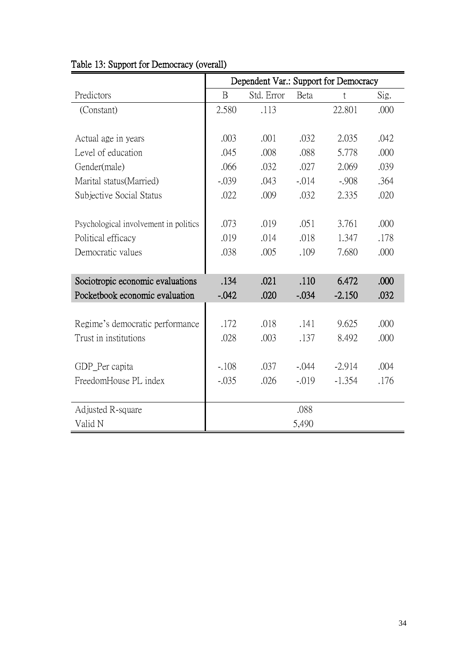|                                       | Dependent Var.: Support for Democracy |            |          |          |      |
|---------------------------------------|---------------------------------------|------------|----------|----------|------|
| Predictors                            | $\mathbf{B}$                          | Std. Error | Beta     | t        | Sig. |
| (Constant)                            | 2.580                                 | .113       |          | 22.801   | .000 |
|                                       |                                       |            |          |          |      |
| Actual age in years                   | .003                                  | .001       | .032     | 2.035    | .042 |
| Level of education                    | .045                                  | .008       | .088     | 5.778    | .000 |
| Gender(male)                          | .066                                  | .032       | .027     | 2.069    | .039 |
| Marital status (Married)              | $-.039$                               | .043       | $-0.014$ | $-.908$  | .364 |
| Subjective Social Status              | .022                                  | .009       | .032     | 2.335    | .020 |
|                                       |                                       |            |          |          |      |
| Psychological involvement in politics | .073                                  | .019       | .051     | 3.761    | .000 |
| Political efficacy                    | .019                                  | .014       | .018     | 1.347    | .178 |
| Democratic values                     | .038                                  | .005       | .109     | 7.680    | .000 |
|                                       |                                       |            |          |          |      |
| Sociotropic economic evaluations      | .134                                  | .021       | .110     | 6.472    | .000 |
| Pocketbook economic evaluation        | $-.042$                               | .020       | $-.034$  | $-2.150$ | .032 |
|                                       |                                       |            |          |          |      |
| Regime's democratic performance       | .172                                  | .018       | .141     | 9.625    | .000 |
| Trust in institutions                 | .028                                  | .003       | .137     | 8.492    | .000 |
|                                       |                                       |            |          |          |      |
| GDP_Per capita                        | $-.108$                               | .037       | $-.044$  | $-2.914$ | .004 |
| FreedomHouse PL index                 | $-.035$                               | .026       | $-.019$  | $-1.354$ | .176 |
|                                       |                                       |            |          |          |      |
| Adjusted R-square                     |                                       |            | .088     |          |      |
| Valid N                               |                                       |            | 5,490    |          |      |

# Table 13: Support for Democracy (overall)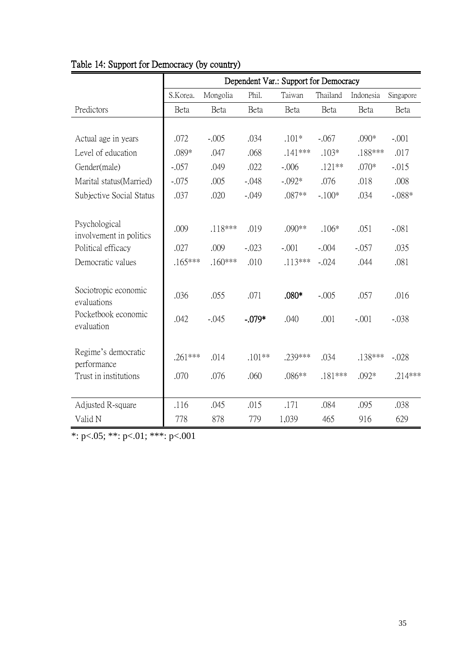|                                          | Dependent Var.: Support for Democracy |           |          |           |           |           |           |
|------------------------------------------|---------------------------------------|-----------|----------|-----------|-----------|-----------|-----------|
|                                          | S.Korea.                              | Mongolia  | Phil.    | Taiwan    | Thailand  | Indonesia | Singapore |
| Predictors                               | Beta                                  | Beta      | Beta     | Beta      | Beta      | Beta      | Beta      |
|                                          |                                       |           |          |           |           |           |           |
| Actual age in years                      | .072                                  | $-.005$   | .034     | $.101*$   | $-.067$   | .090*     | $-.001$   |
| Level of education                       | .089*                                 | .047      | .068     | $.141***$ | $.103*$   | .188***   | .017      |
| Gender(male)                             | $-.057$                               | .049      | .022     | $-.006$   | $.121**$  | $.070*$   | $-.015$   |
| Marital status (Married)                 | $-.075$                               | .005      | $-.048$  | $-.092*$  | .076      | .018      | .008      |
| Subjective Social Status                 | .037                                  | .020      | $-.049$  | .087**    | $-.100*$  | .034      | $-.088*$  |
|                                          |                                       |           |          |           |           |           |           |
| Psychological<br>involvement in politics | .009                                  | .118***   | .019     | .090**    | $.106*$   | .051      | $-.081$   |
| Political efficacy                       | .027                                  | .009      | $-.023$  | $-.001$   | $-.004$   | $-.057$   | .035      |
| Democratic values                        | $.165***$                             | $.160***$ | .010     | $.113***$ | $-.024$   | .044      | .081      |
|                                          |                                       |           |          |           |           |           |           |
| Sociotropic economic<br>evaluations      | .036                                  | .055      | .071     | $.080*$   | $-.005$   | .057      | .016      |
| Pocketbook economic<br>evaluation        | .042                                  | $-.045$   | $-.079*$ | .040      | .001      | $-.001$   | $-.038$   |
|                                          |                                       |           |          |           |           |           |           |
| Regime's democratic<br>performance       | $.261***$                             | .014      | $.101**$ | .239***   | .034      | .138***   | $-.028$   |
| Trust in institutions                    | .070                                  | .076      | .060     | .086**    | $.181***$ | $.092*$   | $.214***$ |
| Adjusted R-square                        | .116                                  | .045      | .015     | .171      | .084      | .095      | .038      |
| Valid N                                  | 778                                   | 878       | 779      | 1,039     | 465       | 916       | 629       |

# Table 14: Support for Democracy (by country)

\*: p<.05; \*\*: p<.01; \*\*\*: p<.001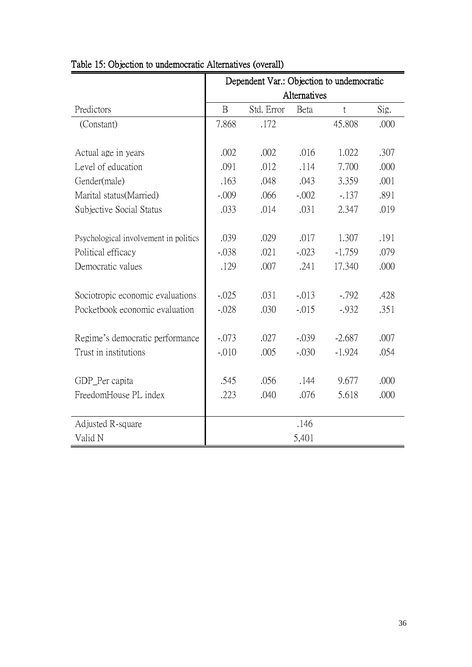|                                       | Dependent Var.: Objection to undemocratic |            |             |          |      |
|---------------------------------------|-------------------------------------------|------------|-------------|----------|------|
|                                       | Alternatives                              |            |             |          |      |
| Predictors                            | $\mathbf{B}$                              | Std. Error | <b>Beta</b> | t        | Sig. |
| (Constant)                            | 7.868                                     | .172       |             | 45.808   | .000 |
|                                       |                                           |            |             |          |      |
| Actual age in years                   | .002                                      | .002       | .016        | 1.022    | .307 |
| Level of education                    | .091                                      | .012       | .114        | 7.700    | .000 |
| Gender(male)                          | .163                                      | .048       | .043        | 3.359    | .001 |
| Marital status (Married)              | $-.009$                                   | .066       | $-.002$     | $-.137$  | .891 |
| Subjective Social Status              | .033                                      | .014       | .031        | 2.347    | .019 |
|                                       |                                           |            |             |          |      |
| Psychological involvement in politics | .039                                      | .029       | .017        | 1.307    | .191 |
| Political efficacy                    | $-.038$                                   | .021       | $-.023$     | $-1.759$ | .079 |
| Democratic values                     | .129                                      | .007       | .241        | 17.340   | .000 |
|                                       |                                           |            |             |          |      |
| Sociotropic economic evaluations      | $-.025$                                   | .031       | $-.013$     | $-0.792$ | .428 |
| Pocketbook economic evaluation        | $-.028$                                   | .030       | $-.015$     | $-0.932$ | .351 |
|                                       |                                           |            |             |          |      |
| Regime's democratic performance       | $-.073$                                   | .027       | $-.039$     | $-2.687$ | .007 |
| Trust in institutions                 | $-.010$                                   | .005       | $-.030$     | $-1.924$ | .054 |
|                                       |                                           |            |             |          |      |
| GDP Per capita                        | .545                                      | .056       | .144        | 9.677    | .000 |
| FreedomHouse PL index                 | .223                                      | .040       | .076        | 5.618    | .000 |
|                                       |                                           |            |             |          |      |
| Adjusted R-square                     |                                           |            | .146        |          |      |
| Valid N                               |                                           |            | 5,401       |          |      |

### Table 15: Objection to undemocratic Alternatives (overall)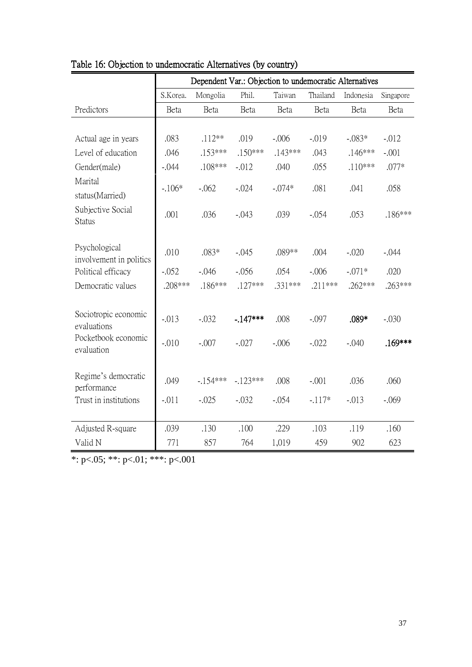|                                                                                     | Dependent Var.: Objection to undemocratic Alternatives |                             |                                 |                             |                              |                                  |                              |
|-------------------------------------------------------------------------------------|--------------------------------------------------------|-----------------------------|---------------------------------|-----------------------------|------------------------------|----------------------------------|------------------------------|
|                                                                                     | S.Korea.                                               | Mongolia                    | Phil.                           | Taiwan                      | Thailand                     | Indonesia                        | Singapore                    |
| Predictors                                                                          | Beta                                                   | Beta                        | Beta                            | Beta                        | Beta                         | Beta                             | Beta                         |
|                                                                                     |                                                        |                             |                                 |                             |                              |                                  |                              |
| Actual age in years                                                                 | .083                                                   | $.112**$                    | .019                            | $-.006$                     | $-.019$                      | $-.083*$                         | $-0.012$                     |
| Level of education                                                                  | .046                                                   | .153***                     | $.150***$                       | $.143***$                   | .043                         | $.146***$                        | $-.001$                      |
| Gender(male)                                                                        | $-.044$                                                | .108***                     | $-.012$                         | .040                        | .055                         | $.110***$                        | .077*                        |
| Marital<br>status(Married)                                                          | $-.106*$                                               | $-.062$                     | $-.024$                         | $-.074*$                    | .081                         | .041                             | .058                         |
| Subjective Social<br><b>Status</b>                                                  | .001                                                   | .036                        | $-.043$                         | .039                        | $-.054$                      | .053                             | $.186***$                    |
| Psychological<br>involvement in politics<br>Political efficacy<br>Democratic values | .010<br>$-.052$<br>$.208***$                           | .083*<br>$-.046$<br>.186*** | $-.045$<br>$-.056$<br>$.127***$ | .089**<br>.054<br>$.331***$ | .004<br>$-.006$<br>$.211***$ | $-.020$<br>$-.071*$<br>$.262***$ | $-.044$<br>.020<br>$.263***$ |
| Sociotropic economic<br>evaluations<br>Pocketbook economic                          | $-.013$<br>$-.010$                                     | $-.032$<br>$-.007$          | $-147***$<br>$-.027$            | .008<br>$-.006$             | $-.097$<br>$-.022$           | .089*<br>$-.040$                 | $-.030$<br>$.169***$         |
| evaluation<br>Regime's democratic<br>performance<br>Trust in institutions           | .049<br>$-.011$                                        | $-.154***$<br>$-.025$       | $-123***$<br>$-.032$            | .008<br>$-.054$             | $-.001$<br>$-.117*$          | .036<br>$-.013$                  | .060<br>$-.069$              |
| Adjusted R-square                                                                   | .039                                                   | .130                        | .100                            | .229                        | .103                         | .119                             | .160                         |
| Valid N                                                                             | 771                                                    | 857                         | 764                             | 1,019                       | 459                          | 902                              | 623                          |

|  | Table 16: Objection to undemocratic Alternatives (by country) |  |  |
|--|---------------------------------------------------------------|--|--|
|  |                                                               |  |  |

\*: p<.05; \*\*: p<.01; \*\*\*: p<.001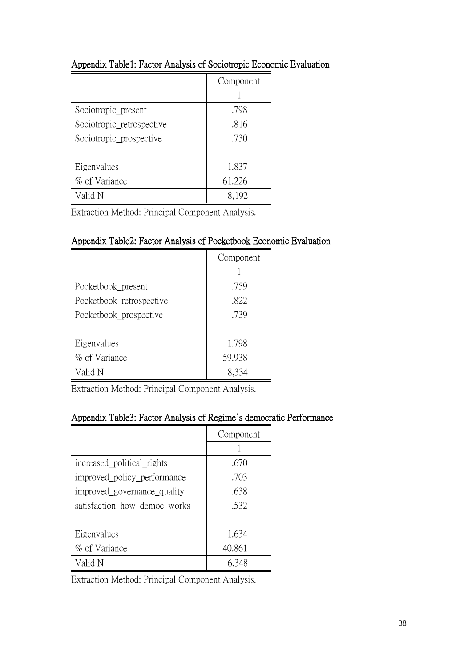|                           | Component |
|---------------------------|-----------|
|                           |           |
| Sociotropic present       | .798      |
| Sociotropic_retrospective | .816      |
| Sociotropic prospective   | .730      |
|                           |           |
| Eigenvalues               | 1.837     |
| % of Variance             | 61.226    |
| Valid N                   | 8.192     |

### Appendix Table1: Factor Analysis of Sociotropic Economic Evaluation

Extraction Method: Principal Component Analysis.

### Appendix Table2: Factor Analysis of Pocketbook Economic Evaluation

|                          | Component |
|--------------------------|-----------|
|                          |           |
| Pocketbook present       | .759      |
| Pocketbook_retrospective | .822      |
| Pocketbook_prospective   | .739      |
|                          |           |
| Eigenvalues              | 1.798     |
| % of Variance            | 59.938    |
| Valid N                  | 8,334     |

Extraction Method: Principal Component Analysis.

### Appendix Table3: Factor Analysis of Regime**'**s democratic Performance

|                              | Component |
|------------------------------|-----------|
|                              |           |
| increased_political_rights   | .670      |
| improved_policy_performance  | .703      |
| improved governance quality  | .638      |
| satisfaction_how_democ_works | .532      |
|                              |           |
| Eigenvalues                  | 1.634     |
| % of Variance                | 40.861    |
| Valid N                      | 6,348     |

Extraction Method: Principal Component Analysis.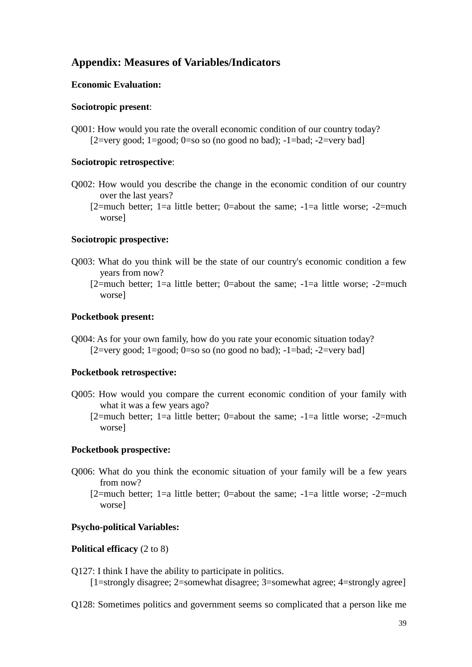### **Appendix: Measures of Variables/Indicators**

### **Economic Evaluation:**

### **Sociotropic present**:

Q001: How would you rate the overall economic condition of our country today? [ $2=very good$ ;  $1=good; 0=so so (no good no bad); -1=bad; -2=very bad]$ ]

### **Sociotropic retrospective**:

- Q002: How would you describe the change in the economic condition of our country over the last years?
	- [2=much better; 1=a little better; 0=about the same;  $-1$ =a little worse;  $-2$ =much worse]

### **Sociotropic prospective:**

- Q003: What do you think will be the state of our country's economic condition a few years from now?
	- $[2=$ much better; 1=a little better; 0=about the same;  $-1=$ a little worse;  $-2=$ much worse]

### **Pocketbook present:**

Q004: As for your own family, how do you rate your economic situation today? [ $2=very good; 1=good; 0=so so (no good no bad); -1=bad; -2=very bad]$ 

### **Pocketbook retrospective:**

- Q005: How would you compare the current economic condition of your family with what it was a few years ago?
	- [2=much better; 1=a little better; 0=about the same;  $-1$ =a little worse;  $-2$ =much worse]

### **Pocketbook prospective:**

- Q006: What do you think the economic situation of your family will be a few years from now?
	- [2=much better; 1=a little better; 0=about the same; -1=a little worse; -2=much worse]

### **Psycho-political Variables:**

### **Political efficacy** (2 to 8)

- Q127: I think I have the ability to participate in politics.
	- [1=strongly disagree; 2=somewhat disagree; 3=somewhat agree; 4=strongly agree]
- Q128: Sometimes politics and government seems so complicated that a person like me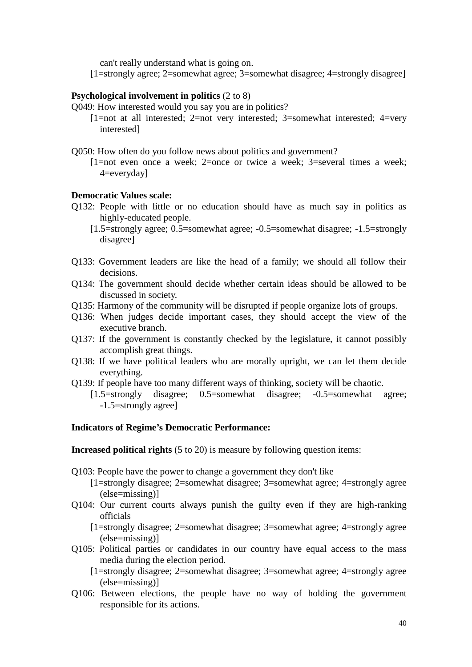can't really understand what is going on.

[1=strongly agree; 2=somewhat agree; 3=somewhat disagree; 4=strongly disagree]

### **Psychological involvement in politics** (2 to 8)

- Q049: How interested would you say you are in politics?
	- $[1=$ not at all interested; 2=not very interested; 3=somewhat interested; 4=very interested]
- Q050: How often do you follow news about politics and government?
	- $[1=$ not even once a week; 2=once or twice a week; 3=several times a week; 4=everyday]

### **Democratic Values scale:**

- Q132: People with little or no education should have as much say in politics as highly-educated people.
	- [1.5=strongly agree; 0.5=somewhat agree; -0.5=somewhat disagree; -1.5=strongly disagree]
- Q133: Government leaders are like the head of a family; we should all follow their decisions.
- Q134: The government should decide whether certain ideas should be allowed to be discussed in society.
- Q135: Harmony of the community will be disrupted if people organize lots of groups.
- Q136: When judges decide important cases, they should accept the view of the executive branch.
- Q137: If the government is constantly checked by the legislature, it cannot possibly accomplish great things.
- Q138: If we have political leaders who are morally upright, we can let them decide everything.
- Q139: If people have too many different ways of thinking, society will be chaotic.
	- [1.5=strongly disagree; 0.5=somewhat disagree; -0.5=somewhat agree; -1.5=strongly agree]

### **Indicators of Regime's Democratic Performance:**

**Increased political rights** (5 to 20) is measure by following question items:

- Q103: People have the power to change a government they don't like
	- [1=strongly disagree; 2=somewhat disagree; 3=somewhat agree; 4=strongly agree (else=missing)]
- Q104: Our current courts always punish the guilty even if they are high-ranking officials
	- [1=strongly disagree; 2=somewhat disagree; 3=somewhat agree; 4=strongly agree (else=missing)]
- Q105: Political parties or candidates in our country have equal access to the mass media during the election period.
	- [1=strongly disagree; 2=somewhat disagree; 3=somewhat agree; 4=strongly agree (else=missing)]
- Q106: Between elections, the people have no way of holding the government responsible for its actions.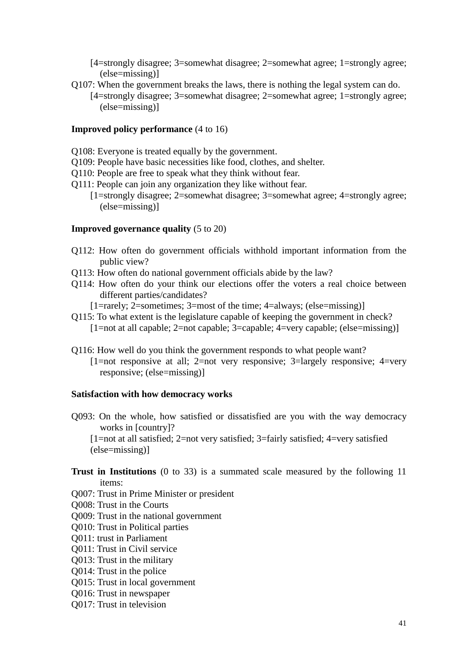- [4=strongly disagree; 3=somewhat disagree; 2=somewhat agree; 1=strongly agree; (else=missing)]
- Q107: When the government breaks the laws, there is nothing the legal system can do. [4=strongly disagree; 3=somewhat disagree; 2=somewhat agree; 1=strongly agree; (else=missing)]

### **Improved policy performance** (4 to 16)

- Q108: Everyone is treated equally by the government.
- Q109: People have basic necessities like food, clothes, and shelter.
- Q110: People are free to speak what they think without fear.
- Q111: People can join any organization they like without fear.
	- [1=strongly disagree; 2=somewhat disagree; 3=somewhat agree; 4=strongly agree; (else=missing)]

### **Improved governance quality** (5 to 20)

- Q112: How often do government officials withhold important information from the public view?
- Q113: How often do national government officials abide by the law?
- Q114: How often do your think our elections offer the voters a real choice between different parties/candidates?
	- [1=rarely; 2=sometimes; 3=most of the time; 4=always; (else=missing)]
- Q115: To what extent is the legislature capable of keeping the government in check? [1=not at all capable; 2=not capable; 3=capable; 4=very capable; (else=missing)]
- Q116: How well do you think the government responds to what people want?  $[1=$ not responsive at all; 2=not very responsive; 3=largely responsive; 4=very responsive; (else=missing)]

### **Satisfaction with how democracy works**

Q093: On the whole, how satisfied or dissatisfied are you with the way democracy works in [country]?

[1=not at all satisfied; 2=not very satisfied; 3=fairly satisfied; 4=very satisfied (else=missing)]

- **Trust in Institutions** (0 to 33) is a summated scale measured by the following 11 items:
- Q007: Trust in Prime Minister or president
- Q008: Trust in the Courts
- Q009: Trust in the national government
- Q010: Trust in Political parties
- Q011: trust in Parliament
- Q011: Trust in Civil service
- Q013: Trust in the military
- Q014: Trust in the police
- Q015: Trust in local government
- Q016: Trust in newspaper
- Q017: Trust in television